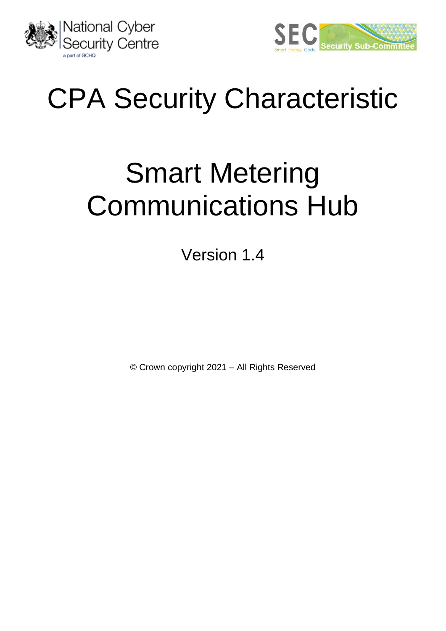



# CPA Security Characteristic

# Smart Metering Communications Hub

Version 1.4

© Crown copyright 2021 – All Rights Reserved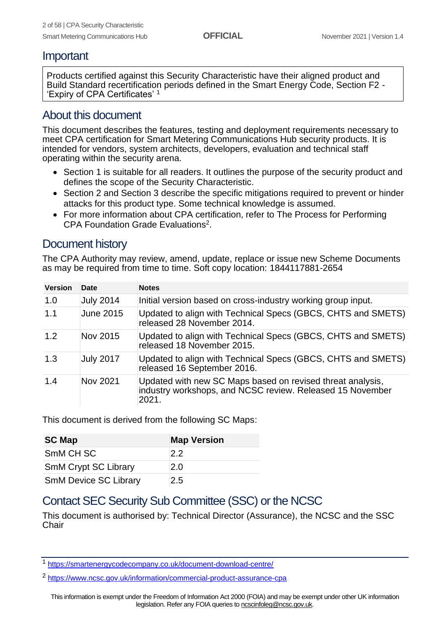## Important

Products certified against this Security Characteristic have their aligned product and Build Standard recertification periods defined in the Smart Energy Code, Section F2 - 'Expiry of CPA Certificates' <sup>1</sup>

## About this document

This document describes the features, testing and deployment requirements necessary to meet CPA certification for Smart Metering Communications Hub security products. It is intended for vendors, system architects, developers, evaluation and technical staff operating within the security arena.

- Section [1](#page-4-0) is suitable for all readers. It outlines the purpose of the security product and defines the scope of the Security Characteristic.
- Section [2](#page-9-0) and Section [3](#page-11-0) describe the specific mitigations required to prevent or hinder attacks for this product type. Some technical knowledge is assumed.
- For more information about CPA certification, refer to The Process for Performing CPA Foundation Grade Evaluations<sup>2</sup>.

## Document history

The CPA Authority may review, amend, update, replace or issue new Scheme Documents as may be required from time to time. Soft copy location: 1844117881-2654

| <b>Version</b> | Date             | <b>Notes</b>                                                                                                                     |
|----------------|------------------|----------------------------------------------------------------------------------------------------------------------------------|
| 1.0            | <b>July 2014</b> | Initial version based on cross-industry working group input.                                                                     |
| 1.1            | <b>June 2015</b> | Updated to align with Technical Specs (GBCS, CHTS and SMETS)<br>released 28 November 2014.                                       |
| 1.2            | Nov 2015         | Updated to align with Technical Specs (GBCS, CHTS and SMETS)<br>released 18 November 2015.                                       |
| 1.3            | <b>July 2017</b> | Updated to align with Technical Specs (GBCS, CHTS and SMETS)<br>released 16 September 2016.                                      |
| 1.4            | Nov 2021         | Updated with new SC Maps based on revised threat analysis,<br>industry workshops, and NCSC review. Released 15 November<br>2021. |

This document is derived from the following SC Maps:

| <b>SC Map</b>                | <b>Map Version</b> |
|------------------------------|--------------------|
| SmM CH SC                    | 2.2                |
| <b>SmM Crypt SC Library</b>  | 2.0                |
| <b>SmM Device SC Library</b> | 2.5                |

## Contact SEC Security Sub Committee (SSC) or the NCSC

This document is authorised by: Technical Director (Assurance), the NCSC and the SSC **Chair** 

<sup>1</sup> <https://smartenergycodecompany.co.uk/document-download-centre/>

<sup>2</sup> <https://www.ncsc.gov.uk/information/commercial-product-assurance-cpa>

This information is exempt under the Freedom of Information Act 2000 (FOIA) and may be exempt under other UK information legislation. Refer any FOIA queries t[o ncscinfoleg@ncsc.gov.uk.](mailto:ncscinfoleg@ncsc.gov.uk)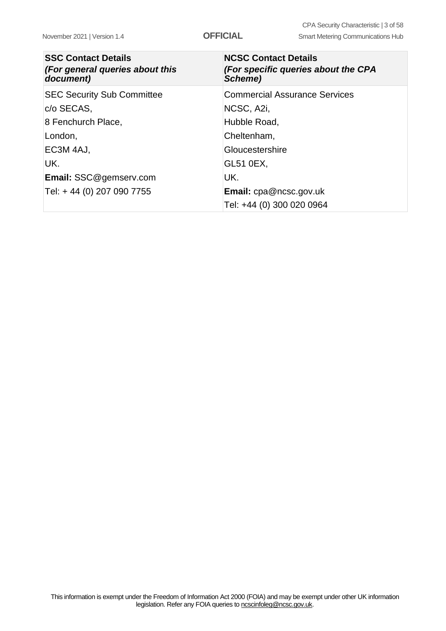| <b>SSC Contact Details</b><br>(For general queries about this<br>document) | <b>NCSC Contact Details</b><br>(For specific queries about the CPA<br>Scheme) |
|----------------------------------------------------------------------------|-------------------------------------------------------------------------------|
| <b>SEC Security Sub Committee</b>                                          | <b>Commercial Assurance Services</b>                                          |
| c/o SECAS,                                                                 | NCSC, A2i,                                                                    |
| 8 Fenchurch Place,                                                         | Hubble Road,                                                                  |
| London,                                                                    | Cheltenham,                                                                   |
| EC3M 4AJ,                                                                  | Gloucestershire                                                               |
| UK.                                                                        | <b>GL51 0EX,</b>                                                              |
| <b>Email: SSC@gemserv.com</b>                                              | UK.                                                                           |
| Tel: +44 (0) 207 090 7755                                                  | <b>Email:</b> $cpa@ncsc.gov.uk$                                               |
|                                                                            | Tel: +44 (0) 300 020 0964                                                     |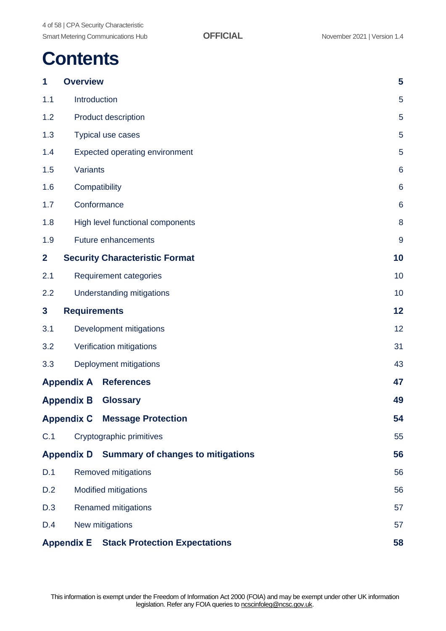## **Contents**

| 1              | <b>Overview</b>     |                                              | 5               |
|----------------|---------------------|----------------------------------------------|-----------------|
| 1.1            | Introduction        |                                              | 5               |
| 1.2            |                     | <b>Product description</b>                   | 5               |
| 1.3            |                     | Typical use cases                            | 5               |
| 1.4            |                     | <b>Expected operating environment</b>        | 5               |
| 1.5            | Variants            |                                              | $6\phantom{1}6$ |
| 1.6            |                     | Compatibility                                | $6\phantom{1}6$ |
| 1.7            |                     | Conformance                                  | $6\phantom{1}6$ |
| 1.8            |                     | High level functional components             | 8               |
| 1.9            |                     | <b>Future enhancements</b>                   | 9               |
| $\overline{2}$ |                     | <b>Security Characteristic Format</b>        | 10              |
| 2.1            |                     | <b>Requirement categories</b>                | 10              |
| 2.2            |                     | Understanding mitigations                    | 10              |
| 3              | <b>Requirements</b> |                                              | 12              |
| 3.1            |                     | Development mitigations                      | 12              |
| 3.2            |                     | Verification mitigations                     | 31              |
| 3.3            |                     | Deployment mitigations                       | 43              |
|                | <b>Appendix A</b>   | <b>References</b>                            | 47              |
|                | <b>Appendix B</b>   | <b>Glossary</b>                              | 49              |
|                |                     | <b>Appendix C Message Protection</b>         | 54              |
| C.1            |                     | Cryptographic primitives                     | 55              |
|                |                     | Appendix D Summary of changes to mitigations | 56              |
| D.1            |                     | Removed mitigations                          | 56              |
| D.2            |                     | <b>Modified mitigations</b>                  | 56              |
| D.3            |                     | <b>Renamed mitigations</b>                   | 57              |
| D.4            |                     | New mitigations                              | 57              |
|                | <b>Appendix E</b>   | <b>Stack Protection Expectations</b>         | 58              |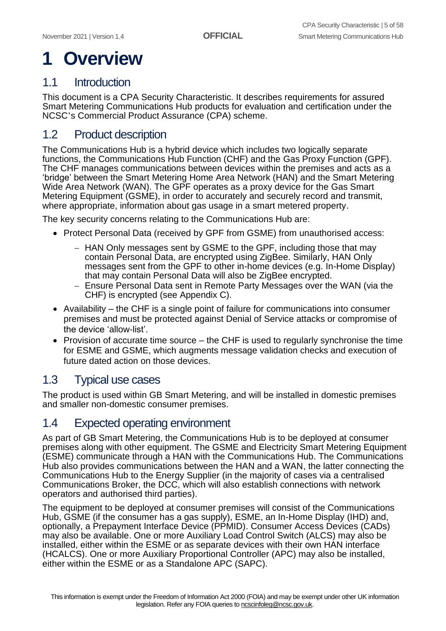# <span id="page-4-0"></span>**1 Overview**

## <span id="page-4-1"></span>1.1 Introduction

This document is a CPA Security Characteristic. It describes requirements for assured Smart Metering Communications Hub products for evaluation and certification under the NCSC's Commercial Product Assurance (CPA) scheme.

## <span id="page-4-2"></span>1.2 Product description

The Communications Hub is a hybrid device which includes two logically separate functions, the Communications Hub Function (CHF) and the Gas Proxy Function (GPF). The CHF manages communications between devices within the premises and acts as a 'bridge' between the Smart Metering Home Area Network (HAN) and the Smart Metering Wide Area Network (WAN). The GPF operates as a proxy device for the Gas Smart Metering Equipment (GSME), in order to accurately and securely record and transmit, where appropriate, information about gas usage in a smart metered property.

The key security concerns relating to the Communications Hub are:

- Protect Personal Data (received by GPF from GSME) from unauthorised access:
	- − HAN Only messages sent by GSME to the GPF, including those that may contain Personal Data, are encrypted using ZigBee. Similarly, HAN Only messages sent from the GPF to other in-home devices (e.g. In-Home Display) that may contain Personal Data will also be ZigBee encrypted.
	- − Ensure Personal Data sent in Remote Party Messages over the WAN (via the CHF) is encrypted (see Appendix C).
- Availability the CHF is a single point of failure for communications into consumer premises and must be protected against Denial of Service attacks or compromise of the device 'allow-list'.
- Provision of accurate time source the CHF is used to regularly synchronise the time for ESME and GSME, which augments message validation checks and execution of future dated action on those devices.

## <span id="page-4-3"></span>1.3 Typical use cases

The product is used within GB Smart Metering, and will be installed in domestic premises and smaller non-domestic consumer premises.

## <span id="page-4-4"></span>1.4 Expected operating environment

As part of GB Smart Metering, the Communications Hub is to be deployed at consumer premises along with other equipment. The GSME and Electricity Smart Metering Equipment (ESME) communicate through a HAN with the Communications Hub. The Communications Hub also provides communications between the HAN and a WAN, the latter connecting the Communications Hub to the Energy Supplier (in the majority of cases via a centralised Communications Broker, the DCC, which will also establish connections with network operators and authorised third parties).

The equipment to be deployed at consumer premises will consist of the Communications Hub, GSME (if the consumer has a gas supply), ESME, an In-Home Display (IHD) and, optionally, a Prepayment Interface Device (PPMID). Consumer Access Devices (CADs) may also be available. One or more Auxiliary Load Control Switch (ALCS) may also be installed, either within the ESME or as separate devices with their own HAN interface (HCALCS). One or more Auxiliary Proportional Controller (APC) may also be installed, either within the ESME or as a Standalone APC (SAPC).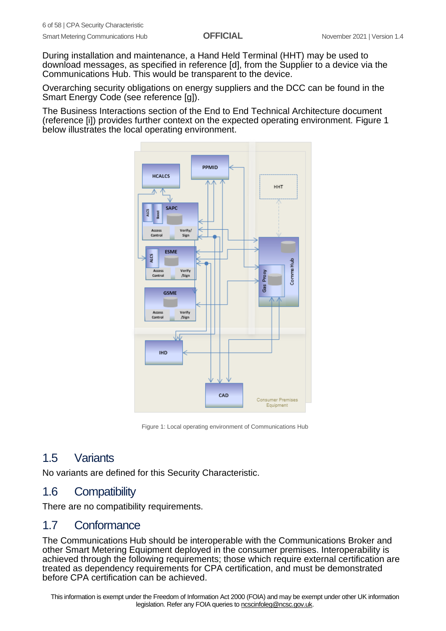During installation and maintenance, a Hand Held Terminal (HHT) may be used to download messages, as specified in reference [d], from the Supplier to a device via the Communications Hub. This would be transparent to the device.

Overarching security obligations on energy suppliers and the DCC can be found in the Smart Energy Code (see reference [g]).

The Business Interactions section of the End to End Technical Architecture document (reference [i]) provides further context on the expected operating environment. [Figure 1](#page-5-3) below illustrates the local operating environment.



Figure 1: Local operating environment of Communications Hub

## <span id="page-5-3"></span><span id="page-5-0"></span>1.5 Variants

No variants are defined for this Security Characteristic.

## <span id="page-5-1"></span>1.6 Compatibility

There are no compatibility requirements.

## <span id="page-5-2"></span>1.7 Conformance

The Communications Hub should be interoperable with the Communications Broker and other Smart Metering Equipment deployed in the consumer premises. Interoperability is achieved through the following requirements; those which require external certification are treated as dependency requirements for CPA certification, and must be demonstrated before CPA certification can be achieved.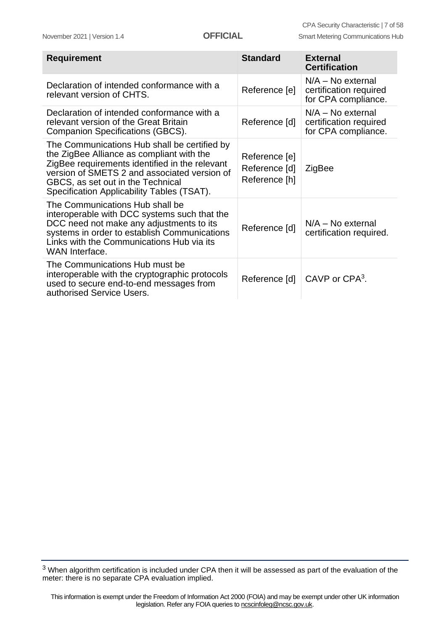| <b>Requirement</b>                                                                                                                                                                                                                                                             | <b>Standard</b>                                 | <b>External</b><br><b>Certification</b>                              |
|--------------------------------------------------------------------------------------------------------------------------------------------------------------------------------------------------------------------------------------------------------------------------------|-------------------------------------------------|----------------------------------------------------------------------|
| Declaration of intended conformance with a<br>relevant version of CHTS.                                                                                                                                                                                                        | Reference [e]                                   | $N/A - No$ external<br>certification required<br>for CPA compliance. |
| Declaration of intended conformance with a<br>relevant version of the Great Britain<br>Companion Specifications (GBCS).                                                                                                                                                        | Reference [d]                                   | $N/A - No$ external<br>certification required<br>for CPA compliance. |
| The Communications Hub shall be certified by<br>the ZigBee Alliance as compliant with the<br>ZigBee requirements identified in the relevant<br>version of SMETS 2 and associated version of<br>GBCS, as set out in the Technical<br>Specification Applicability Tables (TSAT). | Reference [e]<br>Reference [d]<br>Reference [h] | ZigBee                                                               |
| The Communications Hub shall be<br>interoperable with DCC systems such that the<br>DCC need not make any adjustments to its<br>systems in order to establish Communications<br>Links with the Communications Hub via its<br>WAN Interface.                                     | Reference [d]                                   | $N/A - No$ external<br>certification required.                       |
| The Communications Hub must be<br>interoperable with the cryptographic protocols<br>used to secure end-to-end messages from<br>authorised Service Users.                                                                                                                       | Reference [d]                                   | CAVP or CPA <sup>3</sup> .                                           |

<sup>3</sup> When algorithm certification is included under CPA then it will be assessed as part of the evaluation of the meter: there is no separate CPA evaluation implied.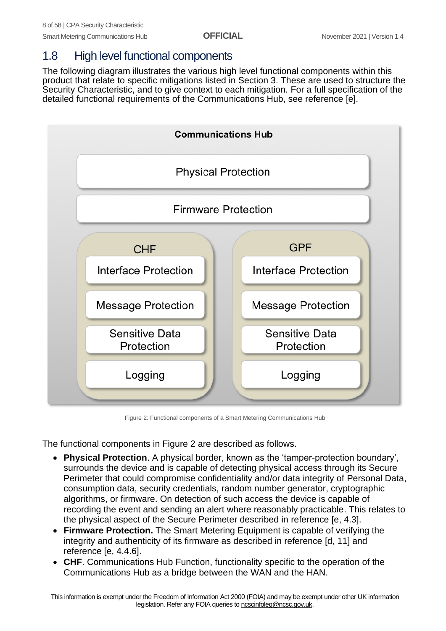## <span id="page-7-0"></span>1.8 High level functional components

The following diagram illustrates the various high level functional components within this product that relate to specific mitigations listed in Section 3. These are used to structure the Security Characteristic, and to give context to each mitigation. For a full specification of the detailed functional requirements of the Communications Hub, see reference [e].



Figure 2: Functional components of a Smart Metering Communications Hub

<span id="page-7-1"></span>The functional components in [Figure 2](#page-7-1) are described as follows.

- **Physical Protection**. A physical border, known as the 'tamper-protection boundary', surrounds the device and is capable of detecting physical access through its Secure Perimeter that could compromise confidentiality and/or data integrity of Personal Data, consumption data, security credentials, random number generator, cryptographic algorithms, or firmware. On detection of such access the device is capable of recording the event and sending an alert where reasonably practicable. This relates to the physical aspect of the Secure Perimeter described in reference [e, 4.3].
- **Firmware Protection.** The Smart Metering Equipment is capable of verifying the integrity and authenticity of its firmware as described in reference [d, 11] and reference [e, 4.4.6].
- **CHF**. Communications Hub Function, functionality specific to the operation of the Communications Hub as a bridge between the WAN and the HAN.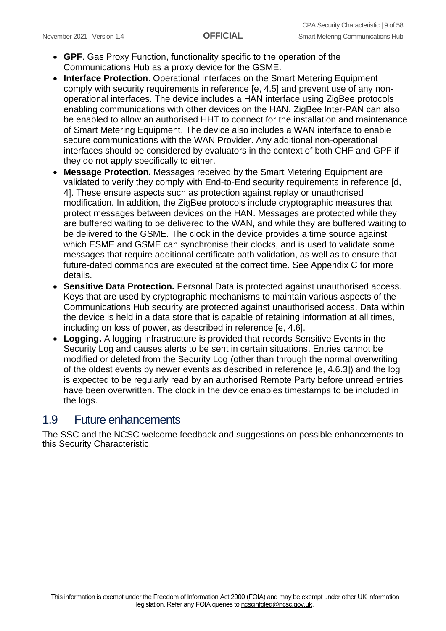- **GPF**. Gas Proxy Function, functionality specific to the operation of the Communications Hub as a proxy device for the GSME.
- **Interface Protection**. Operational interfaces on the Smart Metering Equipment comply with security requirements in reference [e, 4.5] and prevent use of any nonoperational interfaces. The device includes a HAN interface using ZigBee protocols enabling communications with other devices on the HAN. ZigBee Inter-PAN can also be enabled to allow an authorised HHT to connect for the installation and maintenance of Smart Metering Equipment. The device also includes a WAN interface to enable secure communications with the WAN Provider. Any additional non-operational interfaces should be considered by evaluators in the context of both CHF and GPF if they do not apply specifically to either.
- **Message Protection.** Messages received by the Smart Metering Equipment are validated to verify they comply with End-to-End security requirements in reference [d, 4]. These ensure aspects such as protection against replay or unauthorised modification. In addition, the ZigBee protocols include cryptographic measures that protect messages between devices on the HAN. Messages are protected while they are buffered waiting to be delivered to the WAN, and while they are buffered waiting to be delivered to the GSME. The clock in the device provides a time source against which ESME and GSME can synchronise their clocks, and is used to validate some messages that require additional certificate path validation, as well as to ensure that future-dated commands are executed at the correct time. See Appendix C for more details.
- **Sensitive Data Protection.** Personal Data is protected against unauthorised access. Keys that are used by cryptographic mechanisms to maintain various aspects of the Communications Hub security are protected against unauthorised access. Data within the device is held in a data store that is capable of retaining information at all times, including on loss of power, as described in reference [e, 4.6].
- **Logging.** A logging infrastructure is provided that records Sensitive Events in the Security Log and causes alerts to be sent in certain situations. Entries cannot be modified or deleted from the Security Log (other than through the normal overwriting of the oldest events by newer events as described in reference [e, 4.6.3]) and the log is expected to be regularly read by an authorised Remote Party before unread entries have been overwritten. The clock in the device enables timestamps to be included in the logs.

## <span id="page-8-0"></span>1.9 Future enhancements

The SSC and the NCSC welcome feedback and suggestions on possible enhancements to this Security Characteristic.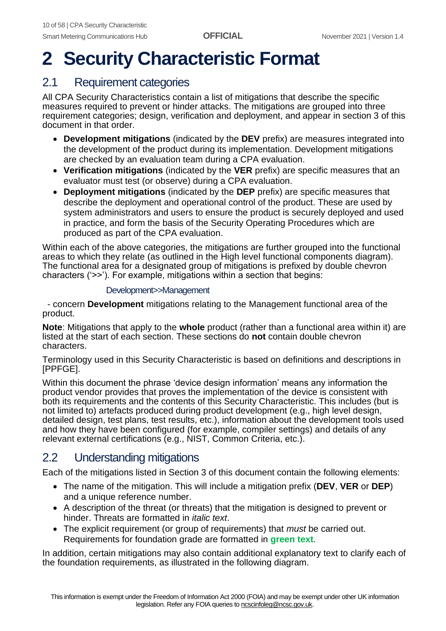# <span id="page-9-0"></span>**2 Security Characteristic Format**

## <span id="page-9-1"></span>2.1 Requirement categories

All CPA Security Characteristics contain a list of mitigations that describe the specific measures required to prevent or hinder attacks. The mitigations are grouped into three requirement categories; design, verification and deployment, and appear in section 3 of this document in that order.

- **Development mitigations** (indicated by the **DEV** prefix) are measures integrated into the development of the product during its implementation. Development mitigations are checked by an evaluation team during a CPA evaluation.
- **Verification mitigations** (indicated by the **VER** prefix) are specific measures that an evaluator must test (or observe) during a CPA evaluation.
- **Deployment mitigations** (indicated by the **DEP** prefix) are specific measures that describe the deployment and operational control of the product. These are used by system administrators and users to ensure the product is securely deployed and used in practice, and form the basis of the Security Operating Procedures which are produced as part of the CPA evaluation.

Within each of the above categories, the mitigations are further grouped into the functional areas to which they relate (as outlined in the High level functional components diagram). The functional area for a designated group of mitigations is prefixed by double chevron characters ('>>'). For example, mitigations within a section that begins:

#### Development>>Management

 - concern **Development** mitigations relating to the Management functional area of the product.

**Note**: Mitigations that apply to the **whole** product (rather than a functional area within it) are listed at the start of each section. These sections do **not** contain double chevron characters.

Terminology used in this Security Characteristic is based on definitions and descriptions in [PPFGE].

Within this document the phrase 'device design information' means any information the product vendor provides that proves the implementation of the device is consistent with both its requirements and the contents of this Security Characteristic. This includes (but is not limited to) artefacts produced during product development (e.g., high level design, detailed design, test plans, test results, etc.), information about the development tools used and how they have been configured (for example, compiler settings) and details of any relevant external certifications (e.g., NIST, Common Criteria, etc.).

## <span id="page-9-2"></span>2.2 Understanding mitigations

Each of the mitigations listed in Section 3 of this document contain the following elements:

- The name of the mitigation. This will include a mitigation prefix (**DEV**, **VER** or **DEP**) and a unique reference number.
- A description of the threat (or threats) that the mitigation is designed to prevent or hinder. Threats are formatted in *italic text*.
- The explicit requirement (or group of requirements) that *must* be carried out. Requirements for foundation grade are formatted in **green text**.

In addition, certain mitigations may also contain additional explanatory text to clarify each of the foundation requirements, as illustrated in the following diagram.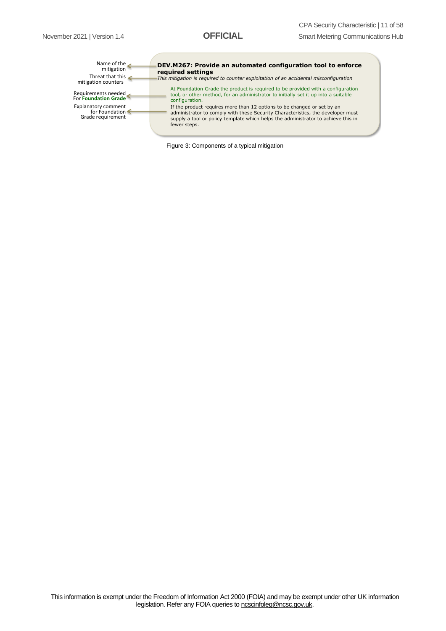| Name of the<br>mitigation<br>Threat that this<br>mitigation counters | DEV.M267: Provide an automated configuration tool to enforce<br>required settings<br>This mitigation is required to counter exploitation of an accidental misconfiguration                                                                                      |
|----------------------------------------------------------------------|-----------------------------------------------------------------------------------------------------------------------------------------------------------------------------------------------------------------------------------------------------------------|
| Requirements needed<br>For Foundation Grade                          | At Foundation Grade the product is required to be provided with a configuration<br>tool, or other method, for an administrator to initially set it up into a suitable<br>configuration.                                                                         |
| Explanatory comment<br>for Foundation<br>Grade requirement           | If the product requires more than 12 options to be changed or set by an<br>administrator to comply with these Security Characteristics, the developer must<br>supply a tool or policy template which helps the administrator to achieve this in<br>fewer steps. |

Figure 3: Components of a typical mitigation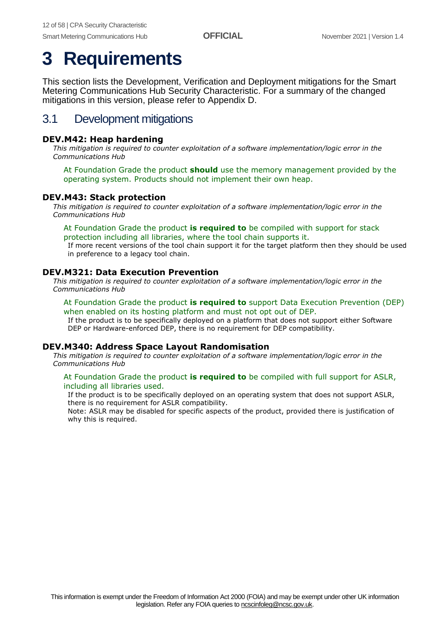## <span id="page-11-0"></span>**3 Requirements**

This section lists the Development, Verification and Deployment mitigations for the Smart Metering Communications Hub Security Characteristic. For a summary of the changed mitigations in this version, please refer to Appendix D.

## <span id="page-11-1"></span>3.1 Development mitigations

#### **DEV.M42: Heap hardening**

*This mitigation is required to counter exploitation of a software implementation/logic error in the Communications Hub*

At Foundation Grade the product **should** use the memory management provided by the operating system. Products should not implement their own heap.

#### **DEV.M43: Stack protection**

*This mitigation is required to counter exploitation of a software implementation/logic error in the Communications Hub*

#### At Foundation Grade the product **is required to** be compiled with support for stack protection including all libraries, where the tool chain supports it.

If more recent versions of the tool chain support it for the target platform then they should be used in preference to a legacy tool chain.

#### **DEV.M321: Data Execution Prevention**

*This mitigation is required to counter exploitation of a software implementation/logic error in the Communications Hub*

#### At Foundation Grade the product **is required to** support Data Execution Prevention (DEP) when enabled on its hosting platform and must not opt out of DEP.

If the product is to be specifically deployed on a platform that does not support either Software DEP or Hardware-enforced DEP, there is no requirement for DEP compatibility.

#### **DEV.M340: Address Space Layout Randomisation**

*This mitigation is required to counter exploitation of a software implementation/logic error in the Communications Hub*

#### At Foundation Grade the product **is required to** be compiled with full support for ASLR, including all libraries used.

If the product is to be specifically deployed on an operating system that does not support ASLR, there is no requirement for ASLR compatibility.

Note: ASLR may be disabled for specific aspects of the product, provided there is justification of why this is required.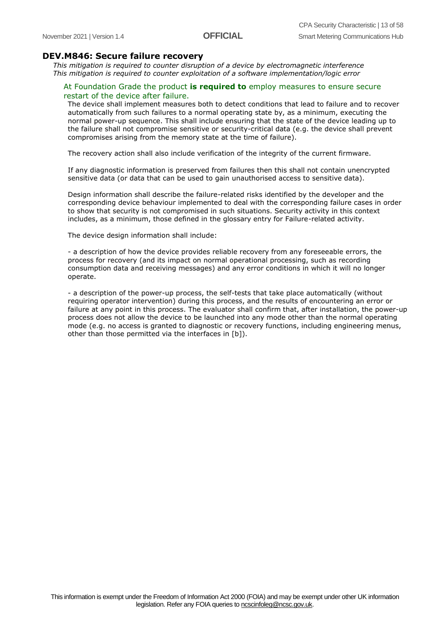#### **DEV.M846: Secure failure recovery**

*This mitigation is required to counter disruption of a device by electromagnetic interference This mitigation is required to counter exploitation of a software implementation/logic error*

#### At Foundation Grade the product **is required to** employ measures to ensure secure restart of the device after failure.

The device shall implement measures both to detect conditions that lead to failure and to recover automatically from such failures to a normal operating state by, as a minimum, executing the normal power-up sequence. This shall include ensuring that the state of the device leading up to the failure shall not compromise sensitive or security-critical data (e.g. the device shall prevent compromises arising from the memory state at the time of failure).

The recovery action shall also include verification of the integrity of the current firmware.

If any diagnostic information is preserved from failures then this shall not contain unencrypted sensitive data (or data that can be used to gain unauthorised access to sensitive data).

Design information shall describe the failure-related risks identified by the developer and the corresponding device behaviour implemented to deal with the corresponding failure cases in order to show that security is not compromised in such situations. Security activity in this context includes, as a minimum, those defined in the glossary entry for Failure-related activity.

The device design information shall include:

- a description of how the device provides reliable recovery from any foreseeable errors, the process for recovery (and its impact on normal operational processing, such as recording consumption data and receiving messages) and any error conditions in which it will no longer operate.

- a description of the power-up process, the self-tests that take place automatically (without requiring operator intervention) during this process, and the results of encountering an error or failure at any point in this process. The evaluator shall confirm that, after installation, the power-up process does not allow the device to be launched into any mode other than the normal operating mode (e.g. no access is granted to diagnostic or recovery functions, including engineering menus, other than those permitted via the interfaces in [b]).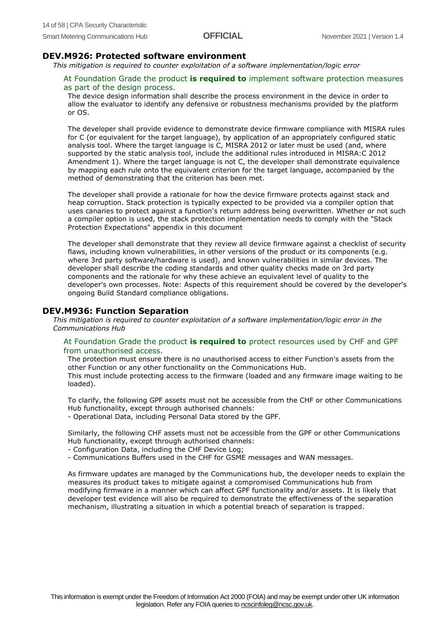#### **DEV.M926: Protected software environment**

*This mitigation is required to counter exploitation of a software implementation/logic error*

#### At Foundation Grade the product **is required to** implement software protection measures as part of the design process.

The device design information shall describe the process environment in the device in order to allow the evaluator to identify any defensive or robustness mechanisms provided by the platform or OS.

The developer shall provide evidence to demonstrate device firmware compliance with MISRA rules for C (or equivalent for the target language), by application of an appropriately configured static analysis tool. Where the target language is C, MISRA 2012 or later must be used (and, where supported by the static analysis tool, include the additional rules introduced in MISRA:C 2012 Amendment 1). Where the target language is not C, the developer shall demonstrate equivalence by mapping each rule onto the equivalent criterion for the target language, accompanied by the method of demonstrating that the criterion has been met.

The developer shall provide a rationale for how the device firmware protects against stack and heap corruption. Stack protection is typically expected to be provided via a compiler option that uses canaries to protect against a function's return address being overwritten. Whether or not such a compiler option is used, the stack protection implementation needs to comply with the "Stack Protection Expectations" appendix in this document

The developer shall demonstrate that they review all device firmware against a checklist of security flaws, including known vulnerabilities, in other versions of the product or its components (e.g. where 3rd party software/hardware is used), and known vulnerabilities in similar devices. The developer shall describe the coding standards and other quality checks made on 3rd party components and the rationale for why these achieve an equivalent level of quality to the developer's own processes. Note: Aspects of this requirement should be covered by the developer's ongoing Build Standard compliance obligations.

#### **DEV.M936: Function Separation**

*This mitigation is required to counter exploitation of a software implementation/logic error in the Communications Hub*

#### At Foundation Grade the product **is required to** protect resources used by CHF and GPF from unauthorised access.

The protection must ensure there is no unauthorised access to either Function's assets from the other Function or any other functionality on the Communications Hub.

This must include protecting access to the firmware (loaded and any firmware image waiting to be loaded).

To clarify, the following GPF assets must not be accessible from the CHF or other Communications Hub functionality, except through authorised channels:

- Operational Data, including Personal Data stored by the GPF.

Similarly, the following CHF assets must not be accessible from the GPF or other Communications Hub functionality, except through authorised channels:

- Configuration Data, including the CHF Device Log;
- Communications Buffers used in the CHF for GSME messages and WAN messages.

As firmware updates are managed by the Communications hub, the developer needs to explain the measures its product takes to mitigate against a compromised Communications hub from modifying firmware in a manner which can affect GPF functionality and/or assets. It is likely that developer test evidence will also be required to demonstrate the effectiveness of the separation mechanism, illustrating a situation in which a potential breach of separation is trapped.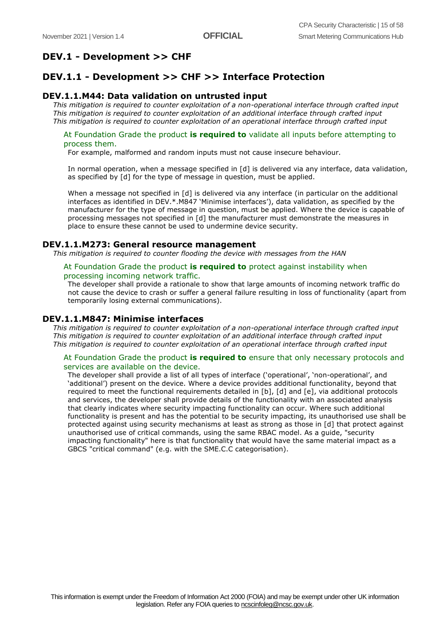## **DEV.1 - Development >> CHF**

### **DEV.1.1 - Development >> CHF >> Interface Protection**

#### **DEV.1.1.M44: Data validation on untrusted input**

*This mitigation is required to counter exploitation of a non-operational interface through crafted input This mitigation is required to counter exploitation of an additional interface through crafted input This mitigation is required to counter exploitation of an operational interface through crafted input*

#### At Foundation Grade the product **is required to** validate all inputs before attempting to process them.

For example, malformed and random inputs must not cause insecure behaviour.

In normal operation, when a message specified in [d] is delivered via any interface, data validation, as specified by [d] for the type of message in question, must be applied.

When a message not specified in [d] is delivered via any interface (in particular on the additional interfaces as identified in DEV.\*.M847 'Minimise interfaces'), data validation, as specified by the manufacturer for the type of message in question, must be applied. Where the device is capable of processing messages not specified in [d] the manufacturer must demonstrate the measures in place to ensure these cannot be used to undermine device security.

#### **DEV.1.1.M273: General resource management**

*This mitigation is required to counter flooding the device with messages from the HAN*

#### At Foundation Grade the product **is required to** protect against instability when processing incoming network traffic.

The developer shall provide a rationale to show that large amounts of incoming network traffic do not cause the device to crash or suffer a general failure resulting in loss of functionality (apart from temporarily losing external communications).

#### **DEV.1.1.M847: Minimise interfaces**

*This mitigation is required to counter exploitation of a non-operational interface through crafted input This mitigation is required to counter exploitation of an additional interface through crafted input This mitigation is required to counter exploitation of an operational interface through crafted input*

#### At Foundation Grade the product **is required to** ensure that only necessary protocols and services are available on the device.

The developer shall provide a list of all types of interface ('operational', 'non-operational', and 'additional') present on the device. Where a device provides additional functionality, beyond that required to meet the functional requirements detailed in [b], [d] and [e], via additional protocols and services, the developer shall provide details of the functionality with an associated analysis that clearly indicates where security impacting functionality can occur. Where such additional functionality is present and has the potential to be security impacting, its unauthorised use shall be protected against using security mechanisms at least as strong as those in [d] that protect against unauthorised use of critical commands, using the same RBAC model. As a guide, "security impacting functionality" here is that functionality that would have the same material impact as a GBCS "critical command" (e.g. with the SME.C.C categorisation).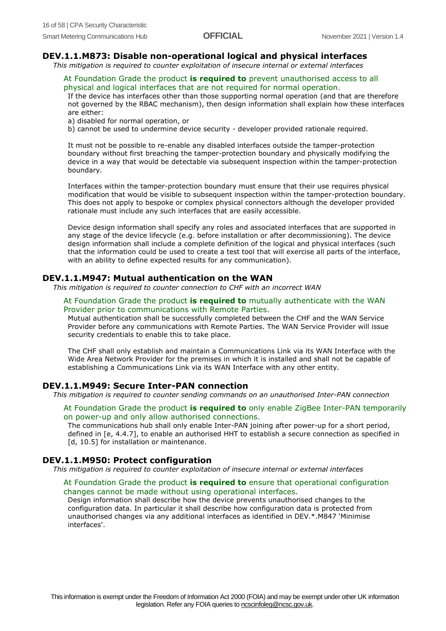#### **DEV.1.1.M873: Disable non-operational logical and physical interfaces**

*This mitigation is required to counter exploitation of insecure internal or external interfaces*

At Foundation Grade the product **is required to** prevent unauthorised access to all physical and logical interfaces that are not required for normal operation.

If the device has interfaces other than those supporting normal operation (and that are therefore not governed by the RBAC mechanism), then design information shall explain how these interfaces are either:

a) disabled for normal operation, or

b) cannot be used to undermine device security - developer provided rationale required.

It must not be possible to re-enable any disabled interfaces outside the tamper-protection boundary without first breaching the tamper-protection boundary and physically modifying the device in a way that would be detectable via subsequent inspection within the tamper-protection boundary.

Interfaces within the tamper-protection boundary must ensure that their use requires physical modification that would be visible to subsequent inspection within the tamper-protection boundary. This does not apply to bespoke or complex physical connectors although the developer provided rationale must include any such interfaces that are easily accessible.

Device design information shall specify any roles and associated interfaces that are supported in any stage of the device lifecycle (e.g. before installation or after decommissioning). The device design information shall include a complete definition of the logical and physical interfaces (such that the information could be used to create a test tool that will exercise all parts of the interface, with an ability to define expected results for any communication).

#### **DEV.1.1.M947: Mutual authentication on the WAN**

*This mitigation is required to counter connection to CHF with an incorrect WAN*

#### At Foundation Grade the product **is required to** mutually authenticate with the WAN Provider prior to communications with Remote Parties.

Mutual authentication shall be successfully completed between the CHF and the WAN Service Provider before any communications with Remote Parties. The WAN Service Provider will issue security credentials to enable this to take place.

The CHF shall only establish and maintain a Communications Link via its WAN Interface with the Wide Area Network Provider for the premises in which it is installed and shall not be capable of establishing a Communications Link via its WAN Interface with any other entity.

#### **DEV.1.1.M949: Secure Inter-PAN connection**

*This mitigation is required to counter sending commands on an unauthorised Inter-PAN connection*

#### At Foundation Grade the product **is required to** only enable ZigBee Inter-PAN temporarily on power-up and only allow authorised connections.

The communications hub shall only enable Inter-PAN joining after power-up for a short period, defined in [e, 4.4.7], to enable an authorised HHT to establish a secure connection as specified in [d, 10.5] for installation or maintenance.

#### **DEV.1.1.M950: Protect configuration**

*This mitigation is required to counter exploitation of insecure internal or external interfaces*

#### At Foundation Grade the product **is required to** ensure that operational configuration changes cannot be made without using operational interfaces.

Design information shall describe how the device prevents unauthorised changes to the configuration data. In particular it shall describe how configuration data is protected from unauthorised changes via any additional interfaces as identified in DEV.\*.M847 'Minimise interfaces'.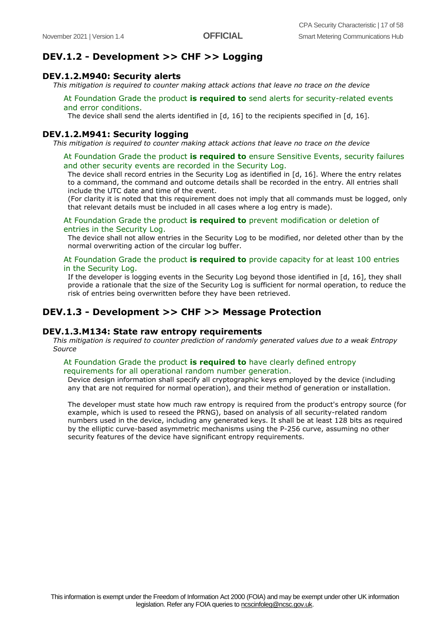#### **DEV.1.2 - Development >> CHF >> Logging**

#### **DEV.1.2.M940: Security alerts**

*This mitigation is required to counter making attack actions that leave no trace on the device*

#### At Foundation Grade the product **is required to** send alerts for security-related events and error conditions.

The device shall send the alerts identified in  $[d, 16]$  to the recipients specified in  $[d, 16]$ .

#### **DEV.1.2.M941: Security logging**

*This mitigation is required to counter making attack actions that leave no trace on the device*

#### At Foundation Grade the product **is required to** ensure Sensitive Events, security failures and other security events are recorded in the Security Log.

The device shall record entries in the Security Log as identified in [d, 16]. Where the entry relates to a command, the command and outcome details shall be recorded in the entry. All entries shall include the UTC date and time of the event.

(For clarity it is noted that this requirement does not imply that all commands must be logged, only that relevant details must be included in all cases where a log entry is made).

#### At Foundation Grade the product **is required to** prevent modification or deletion of entries in the Security Log.

The device shall not allow entries in the Security Log to be modified, nor deleted other than by the normal overwriting action of the circular log buffer.

#### At Foundation Grade the product **is required to** provide capacity for at least 100 entries in the Security Log.

If the developer is logging events in the Security Log beyond those identified in [d, 16], they shall provide a rationale that the size of the Security Log is sufficient for normal operation, to reduce the risk of entries being overwritten before they have been retrieved.

#### **DEV.1.3 - Development >> CHF >> Message Protection**

#### **DEV.1.3.M134: State raw entropy requirements**

*This mitigation is required to counter prediction of randomly generated values due to a weak Entropy Source*

#### At Foundation Grade the product **is required to** have clearly defined entropy requirements for all operational random number generation.

Device design information shall specify all cryptographic keys employed by the device (including any that are not required for normal operation), and their method of generation or installation.

The developer must state how much raw entropy is required from the product's entropy source (for example, which is used to reseed the PRNG), based on analysis of all security-related random numbers used in the device, including any generated keys. It shall be at least 128 bits as required by the elliptic curve-based asymmetric mechanisms using the P-256 curve, assuming no other security features of the device have significant entropy requirements.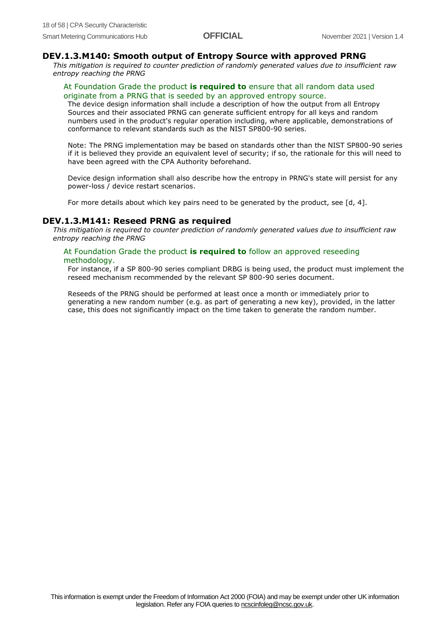#### **DEV.1.3.M140: Smooth output of Entropy Source with approved PRNG**

*This mitigation is required to counter prediction of randomly generated values due to insufficient raw entropy reaching the PRNG*

#### At Foundation Grade the product **is required to** ensure that all random data used originate from a PRNG that is seeded by an approved entropy source.

The device design information shall include a description of how the output from all Entropy Sources and their associated PRNG can generate sufficient entropy for all keys and random numbers used in the product's regular operation including, where applicable, demonstrations of conformance to relevant standards such as the NIST SP800-90 series.

Note: The PRNG implementation may be based on standards other than the NIST SP800-90 series if it is believed they provide an equivalent level of security; if so, the rationale for this will need to have been agreed with the CPA Authority beforehand.

Device design information shall also describe how the entropy in PRNG's state will persist for any power-loss / device restart scenarios.

For more details about which key pairs need to be generated by the product, see [d, 4].

#### **DEV.1.3.M141: Reseed PRNG as required**

*This mitigation is required to counter prediction of randomly generated values due to insufficient raw entropy reaching the PRNG*

#### At Foundation Grade the product **is required to** follow an approved reseeding

#### methodology.

For instance, if a SP 800-90 series compliant DRBG is being used, the product must implement the reseed mechanism recommended by the relevant SP 800-90 series document.

Reseeds of the PRNG should be performed at least once a month or immediately prior to generating a new random number (e.g. as part of generating a new key), provided, in the latter case, this does not significantly impact on the time taken to generate the random number.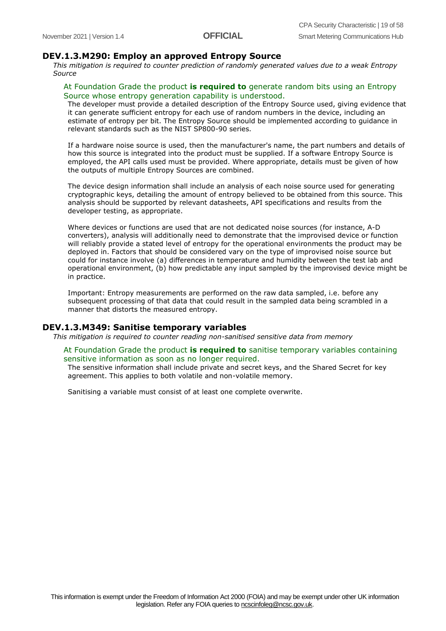#### **DEV.1.3.M290: Employ an approved Entropy Source**

*This mitigation is required to counter prediction of randomly generated values due to a weak Entropy Source*

#### At Foundation Grade the product **is required to** generate random bits using an Entropy Source whose entropy generation capability is understood.

The developer must provide a detailed description of the Entropy Source used, giving evidence that it can generate sufficient entropy for each use of random numbers in the device, including an estimate of entropy per bit. The Entropy Source should be implemented according to guidance in relevant standards such as the NIST SP800-90 series.

If a hardware noise source is used, then the manufacturer's name, the part numbers and details of how this source is integrated into the product must be supplied. If a software Entropy Source is employed, the API calls used must be provided. Where appropriate, details must be given of how the outputs of multiple Entropy Sources are combined.

The device design information shall include an analysis of each noise source used for generating cryptographic keys, detailing the amount of entropy believed to be obtained from this source. This analysis should be supported by relevant datasheets, API specifications and results from the developer testing, as appropriate.

Where devices or functions are used that are not dedicated noise sources (for instance, A-D converters), analysis will additionally need to demonstrate that the improvised device or function will reliably provide a stated level of entropy for the operational environments the product may be deployed in. Factors that should be considered vary on the type of improvised noise source but could for instance involve (a) differences in temperature and humidity between the test lab and operational environment, (b) how predictable any input sampled by the improvised device might be in practice.

Important: Entropy measurements are performed on the raw data sampled, i.e. before any subsequent processing of that data that could result in the sampled data being scrambled in a manner that distorts the measured entropy.

#### **DEV.1.3.M349: Sanitise temporary variables**

*This mitigation is required to counter reading non-sanitised sensitive data from memory*

#### At Foundation Grade the product **is required to** sanitise temporary variables containing sensitive information as soon as no longer required.

The sensitive information shall include private and secret keys, and the Shared Secret for key agreement. This applies to both volatile and non-volatile memory.

Sanitising a variable must consist of at least one complete overwrite.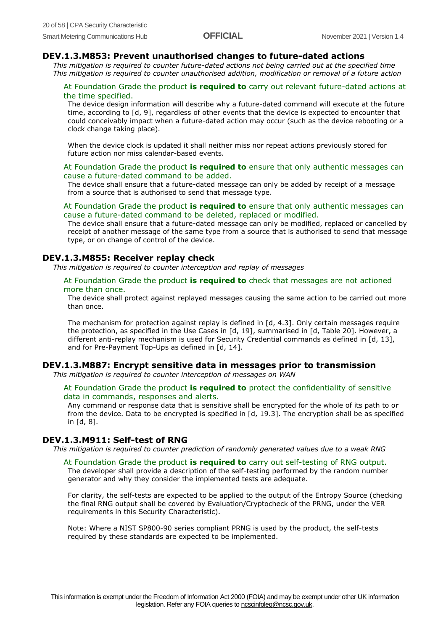#### **DEV.1.3.M853: Prevent unauthorised changes to future-dated actions**

*This mitigation is required to counter future-dated actions not being carried out at the specified time This mitigation is required to counter unauthorised addition, modification or removal of a future action*

#### At Foundation Grade the product **is required to** carry out relevant future-dated actions at the time specified.

The device design information will describe why a future-dated command will execute at the future time, according to [d, 9], regardless of other events that the device is expected to encounter that could conceivably impact when a future-dated action may occur (such as the device rebooting or a clock change taking place).

When the device clock is updated it shall neither miss nor repeat actions previously stored for future action nor miss calendar-based events.

#### At Foundation Grade the product **is required to** ensure that only authentic messages can cause a future-dated command to be added.

The device shall ensure that a future-dated message can only be added by receipt of a message from a source that is authorised to send that message type.

#### At Foundation Grade the product **is required to** ensure that only authentic messages can cause a future-dated command to be deleted, replaced or modified.

The device shall ensure that a future-dated message can only be modified, replaced or cancelled by receipt of another message of the same type from a source that is authorised to send that message type, or on change of control of the device.

#### **DEV.1.3.M855: Receiver replay check**

*This mitigation is required to counter interception and replay of messages*

#### At Foundation Grade the product **is required to** check that messages are not actioned more than once.

The device shall protect against replayed messages causing the same action to be carried out more than once.

The mechanism for protection against replay is defined in [d, 4.3]. Only certain messages require the protection, as specified in the Use Cases in [d, 19], summarised in [d, Table 20]. However, a different anti-replay mechanism is used for Security Credential commands as defined in [d, 13], and for Pre-Payment Top-Ups as defined in [d, 14].

#### **DEV.1.3.M887: Encrypt sensitive data in messages prior to transmission**

*This mitigation is required to counter interception of messages on WAN*

#### At Foundation Grade the product **is required to** protect the confidentiality of sensitive data in commands, responses and alerts.

Any command or response data that is sensitive shall be encrypted for the whole of its path to or from the device. Data to be encrypted is specified in [d, 19.3]. The encryption shall be as specified in [d, 8].

#### **DEV.1.3.M911: Self-test of RNG**

*This mitigation is required to counter prediction of randomly generated values due to a weak RNG*

At Foundation Grade the product **is required to** carry out self-testing of RNG output. The developer shall provide a description of the self-testing performed by the random number generator and why they consider the implemented tests are adequate.

For clarity, the self-tests are expected to be applied to the output of the Entropy Source (checking the final RNG output shall be covered by Evaluation/Cryptocheck of the PRNG, under the VER requirements in this Security Characteristic).

Note: Where a NIST SP800-90 series compliant PRNG is used by the product, the self-tests required by these standards are expected to be implemented.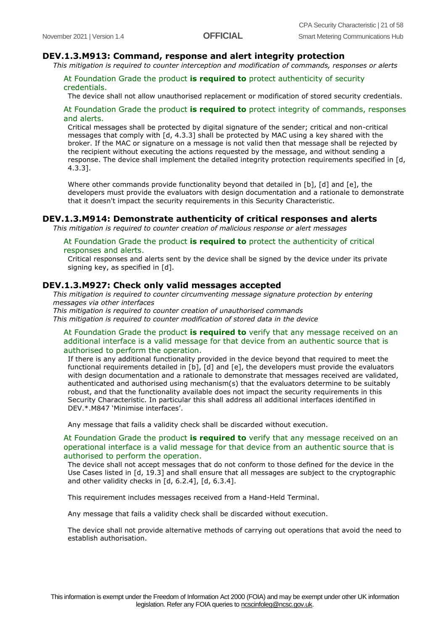#### **DEV.1.3.M913: Command, response and alert integrity protection**

*This mitigation is required to counter interception and modification of commands, responses or alerts*

#### At Foundation Grade the product **is required to** protect authenticity of security credentials.

The device shall not allow unauthorised replacement or modification of stored security credentials.

#### At Foundation Grade the product **is required to** protect integrity of commands, responses and alerts.

Critical messages shall be protected by digital signature of the sender; critical and non-critical messages that comply with [d, 4.3.3] shall be protected by MAC using a key shared with the broker. If the MAC or signature on a message is not valid then that message shall be rejected by the recipient without executing the actions requested by the message, and without sending a response. The device shall implement the detailed integrity protection requirements specified in [d, 4.3.3].

Where other commands provide functionality beyond that detailed in [b], [d] and [e], the developers must provide the evaluators with design documentation and a rationale to demonstrate that it doesn't impact the security requirements in this Security Characteristic.

#### **DEV.1.3.M914: Demonstrate authenticity of critical responses and alerts**

*This mitigation is required to counter creation of malicious response or alert messages*

#### At Foundation Grade the product **is required to** protect the authenticity of critical responses and alerts.

Critical responses and alerts sent by the device shall be signed by the device under its private signing key, as specified in [d].

#### **DEV.1.3.M927: Check only valid messages accepted**

*This mitigation is required to counter circumventing message signature protection by entering messages via other interfaces*

*This mitigation is required to counter creation of unauthorised commands This mitigation is required to counter modification of stored data in the device*

#### At Foundation Grade the product **is required to** verify that any message received on an additional interface is a valid message for that device from an authentic source that is authorised to perform the operation.

If there is any additional functionality provided in the device beyond that required to meet the functional requirements detailed in [b], [d] and [e], the developers must provide the evaluators with design documentation and a rationale to demonstrate that messages received are validated, authenticated and authorised using mechanism(s) that the evaluators determine to be suitably robust, and that the functionality available does not impact the security requirements in this Security Characteristic. In particular this shall address all additional interfaces identified in DEV.\*.M847 'Minimise interfaces'.

Any message that fails a validity check shall be discarded without execution.

#### At Foundation Grade the product **is required to** verify that any message received on an operational interface is a valid message for that device from an authentic source that is authorised to perform the operation.

The device shall not accept messages that do not conform to those defined for the device in the Use Cases listed in [d, 19.3] and shall ensure that all messages are subject to the cryptographic and other validity checks in [d, 6.2.4], [d, 6.3.4].

This requirement includes messages received from a Hand-Held Terminal.

Any message that fails a validity check shall be discarded without execution.

The device shall not provide alternative methods of carrying out operations that avoid the need to establish authorisation.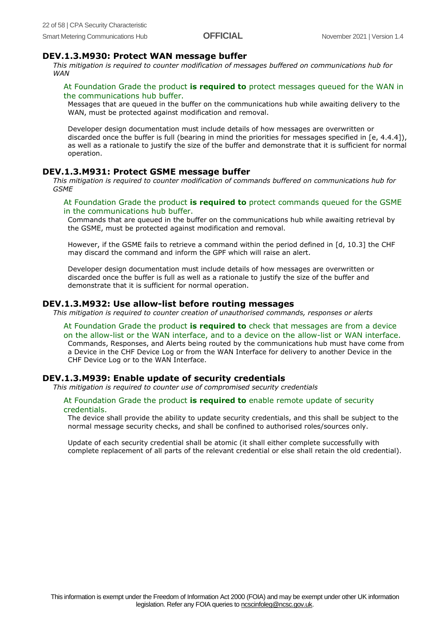#### **DEV.1.3.M930: Protect WAN message buffer**

*This mitigation is required to counter modification of messages buffered on communications hub for WAN*

#### At Foundation Grade the product **is required to** protect messages queued for the WAN in the communications hub buffer.

Messages that are queued in the buffer on the communications hub while awaiting delivery to the WAN, must be protected against modification and removal.

Developer design documentation must include details of how messages are overwritten or discarded once the buffer is full (bearing in mind the priorities for messages specified in [e, 4.4.4]), as well as a rationale to justify the size of the buffer and demonstrate that it is sufficient for normal operation.

#### **DEV.1.3.M931: Protect GSME message buffer**

*This mitigation is required to counter modification of commands buffered on communications hub for GSME*

#### At Foundation Grade the product **is required to** protect commands queued for the GSME in the communications hub buffer.

Commands that are queued in the buffer on the communications hub while awaiting retrieval by the GSME, must be protected against modification and removal.

However, if the GSME fails to retrieve a command within the period defined in [d, 10.3] the CHF may discard the command and inform the GPF which will raise an alert.

Developer design documentation must include details of how messages are overwritten or discarded once the buffer is full as well as a rationale to justify the size of the buffer and demonstrate that it is sufficient for normal operation.

#### **DEV.1.3.M932: Use allow-list before routing messages**

*This mitigation is required to counter creation of unauthorised commands, responses or alerts*

At Foundation Grade the product **is required to** check that messages are from a device on the allow-list or the WAN interface, and to a device on the allow-list or WAN interface. Commands, Responses, and Alerts being routed by the communications hub must have come from a Device in the CHF Device Log or from the WAN Interface for delivery to another Device in the CHF Device Log or to the WAN Interface.

#### **DEV.1.3.M939: Enable update of security credentials**

*This mitigation is required to counter use of compromised security credentials*

#### At Foundation Grade the product **is required to** enable remote update of security credentials.

The device shall provide the ability to update security credentials, and this shall be subject to the normal message security checks, and shall be confined to authorised roles/sources only.

Update of each security credential shall be atomic (it shall either complete successfully with complete replacement of all parts of the relevant credential or else shall retain the old credential).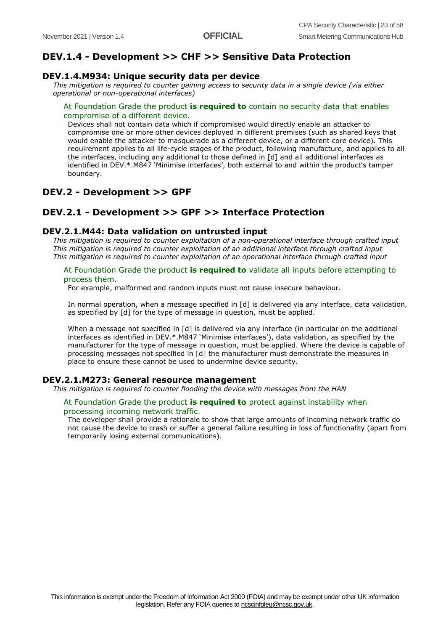## **DEV.1.4 - Development >> CHF >> Sensitive Data Protection**

#### **DEV.1.4.M934: Unique security data per device**

*This mitigation is required to counter gaining access to security data in a single device (via either operational or non-operational interfaces)*

#### At Foundation Grade the product **is required to** contain no security data that enables compromise of a different device.

Devices shall not contain data which if compromised would directly enable an attacker to compromise one or more other devices deployed in different premises (such as shared keys that would enable the attacker to masquerade as a different device, or a different core device). This requirement applies to all life-cycle stages of the product, following manufacture, and applies to all the interfaces, including any additional to those defined in [d] and all additional interfaces as identified in DEV.\*.M847 'Minimise interfaces', both external to and within the product's tamper boundary.

#### **DEV.2 - Development >> GPF**

### **DEV.2.1 - Development >> GPF >> Interface Protection**

#### **DEV.2.1.M44: Data validation on untrusted input**

*This mitigation is required to counter exploitation of a non-operational interface through crafted input This mitigation is required to counter exploitation of an additional interface through crafted input This mitigation is required to counter exploitation of an operational interface through crafted input*

#### At Foundation Grade the product **is required to** validate all inputs before attempting to process them.

For example, malformed and random inputs must not cause insecure behaviour.

In normal operation, when a message specified in [d] is delivered via any interface, data validation, as specified by [d] for the type of message in question, must be applied.

When a message not specified in [d] is delivered via any interface (in particular on the additional interfaces as identified in DEV.\*.M847 'Minimise interfaces'), data validation, as specified by the manufacturer for the type of message in question, must be applied. Where the device is capable of processing messages not specified in [d] the manufacturer must demonstrate the measures in place to ensure these cannot be used to undermine device security.

#### **DEV.2.1.M273: General resource management**

*This mitigation is required to counter flooding the device with messages from the HAN*

#### At Foundation Grade the product **is required to** protect against instability when processing incoming network traffic.

The developer shall provide a rationale to show that large amounts of incoming network traffic do not cause the device to crash or suffer a general failure resulting in loss of functionality (apart from temporarily losing external communications).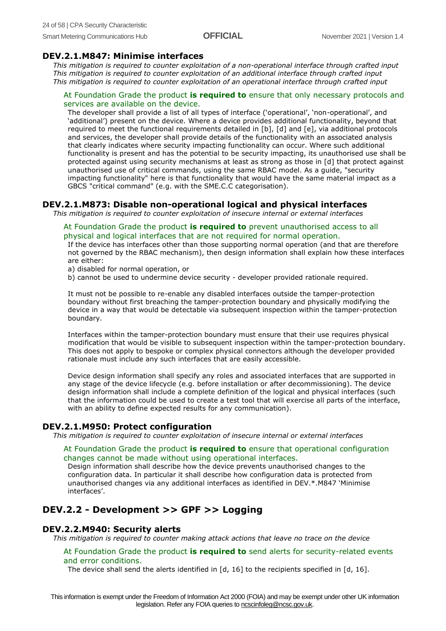#### **DEV.2.1.M847: Minimise interfaces**

*This mitigation is required to counter exploitation of a non-operational interface through crafted input This mitigation is required to counter exploitation of an additional interface through crafted input This mitigation is required to counter exploitation of an operational interface through crafted input*

#### At Foundation Grade the product **is required to** ensure that only necessary protocols and services are available on the device.

The developer shall provide a list of all types of interface ('operational', 'non-operational', and 'additional') present on the device. Where a device provides additional functionality, beyond that required to meet the functional requirements detailed in [b], [d] and [e], via additional protocols and services, the developer shall provide details of the functionality with an associated analysis that clearly indicates where security impacting functionality can occur. Where such additional functionality is present and has the potential to be security impacting, its unauthorised use shall be protected against using security mechanisms at least as strong as those in [d] that protect against unauthorised use of critical commands, using the same RBAC model. As a guide, "security impacting functionality" here is that functionality that would have the same material impact as a GBCS "critical command" (e.g. with the SME.C.C categorisation).

#### **DEV.2.1.M873: Disable non-operational logical and physical interfaces**

*This mitigation is required to counter exploitation of insecure internal or external interfaces*

#### At Foundation Grade the product **is required to** prevent unauthorised access to all physical and logical interfaces that are not required for normal operation.

If the device has interfaces other than those supporting normal operation (and that are therefore not governed by the RBAC mechanism), then design information shall explain how these interfaces are either:

a) disabled for normal operation, or

b) cannot be used to undermine device security - developer provided rationale required.

It must not be possible to re-enable any disabled interfaces outside the tamper-protection boundary without first breaching the tamper-protection boundary and physically modifying the device in a way that would be detectable via subsequent inspection within the tamper-protection boundary.

Interfaces within the tamper-protection boundary must ensure that their use requires physical modification that would be visible to subsequent inspection within the tamper-protection boundary. This does not apply to bespoke or complex physical connectors although the developer provided rationale must include any such interfaces that are easily accessible.

Device design information shall specify any roles and associated interfaces that are supported in any stage of the device lifecycle (e.g. before installation or after decommissioning). The device design information shall include a complete definition of the logical and physical interfaces (such that the information could be used to create a test tool that will exercise all parts of the interface, with an ability to define expected results for any communication).

#### **DEV.2.1.M950: Protect configuration**

*This mitigation is required to counter exploitation of insecure internal or external interfaces*

#### At Foundation Grade the product **is required to** ensure that operational configuration changes cannot be made without using operational interfaces.

Design information shall describe how the device prevents unauthorised changes to the configuration data. In particular it shall describe how configuration data is protected from unauthorised changes via any additional interfaces as identified in DEV.\*.M847 'Minimise interfaces'.

## **DEV.2.2 - Development >> GPF >> Logging**

#### **DEV.2.2.M940: Security alerts**

*This mitigation is required to counter making attack actions that leave no trace on the device*

#### At Foundation Grade the product **is required to** send alerts for security-related events and error conditions.

The device shall send the alerts identified in [d, 16] to the recipients specified in [d, 16].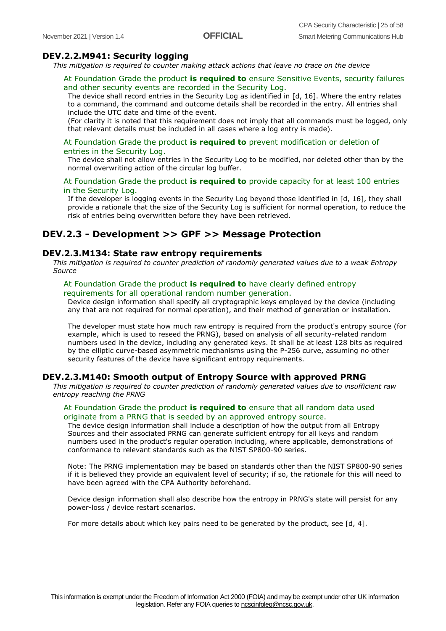#### **DEV.2.2.M941: Security logging**

*This mitigation is required to counter making attack actions that leave no trace on the device*

#### At Foundation Grade the product **is required to** ensure Sensitive Events, security failures and other security events are recorded in the Security Log.

The device shall record entries in the Security Log as identified in [d, 16]. Where the entry relates to a command, the command and outcome details shall be recorded in the entry. All entries shall include the UTC date and time of the event.

(For clarity it is noted that this requirement does not imply that all commands must be logged, only that relevant details must be included in all cases where a log entry is made).

#### At Foundation Grade the product **is required to** prevent modification or deletion of entries in the Security Log.

The device shall not allow entries in the Security Log to be modified, nor deleted other than by the normal overwriting action of the circular log buffer.

#### At Foundation Grade the product **is required to** provide capacity for at least 100 entries in the Security Log.

If the developer is logging events in the Security Log beyond those identified in [d, 16], they shall provide a rationale that the size of the Security Log is sufficient for normal operation, to reduce the risk of entries being overwritten before they have been retrieved.

#### **DEV.2.3 - Development >> GPF >> Message Protection**

#### **DEV.2.3.M134: State raw entropy requirements**

*This mitigation is required to counter prediction of randomly generated values due to a weak Entropy Source*

#### At Foundation Grade the product **is required to** have clearly defined entropy requirements for all operational random number generation.

Device design information shall specify all cryptographic keys employed by the device (including any that are not required for normal operation), and their method of generation or installation.

The developer must state how much raw entropy is required from the product's entropy source (for example, which is used to reseed the PRNG), based on analysis of all security-related random numbers used in the device, including any generated keys. It shall be at least 128 bits as required by the elliptic curve-based asymmetric mechanisms using the P-256 curve, assuming no other security features of the device have significant entropy requirements.

#### **DEV.2.3.M140: Smooth output of Entropy Source with approved PRNG**

*This mitigation is required to counter prediction of randomly generated values due to insufficient raw entropy reaching the PRNG*

#### At Foundation Grade the product **is required to** ensure that all random data used originate from a PRNG that is seeded by an approved entropy source.

The device design information shall include a description of how the output from all Entropy Sources and their associated PRNG can generate sufficient entropy for all keys and random numbers used in the product's regular operation including, where applicable, demonstrations of conformance to relevant standards such as the NIST SP800-90 series.

Note: The PRNG implementation may be based on standards other than the NIST SP800-90 series if it is believed they provide an equivalent level of security; if so, the rationale for this will need to have been agreed with the CPA Authority beforehand.

Device design information shall also describe how the entropy in PRNG's state will persist for any power-loss / device restart scenarios.

For more details about which key pairs need to be generated by the product, see  $[d, 4]$ .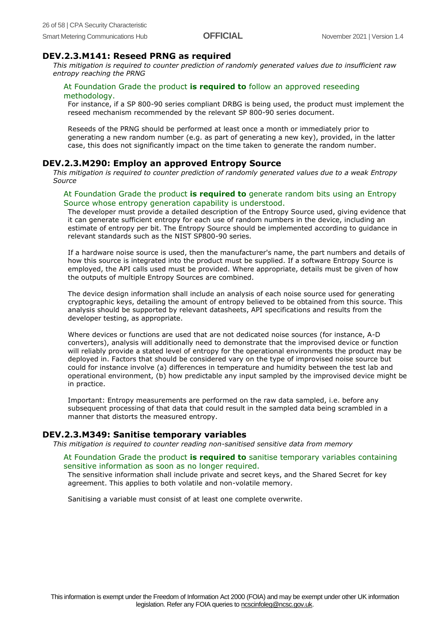#### **DEV.2.3.M141: Reseed PRNG as required**

*This mitigation is required to counter prediction of randomly generated values due to insufficient raw entropy reaching the PRNG*

#### At Foundation Grade the product **is required to** follow an approved reseeding methodology.

For instance, if a SP 800-90 series compliant DRBG is being used, the product must implement the reseed mechanism recommended by the relevant SP 800-90 series document.

Reseeds of the PRNG should be performed at least once a month or immediately prior to generating a new random number (e.g. as part of generating a new key), provided, in the latter case, this does not significantly impact on the time taken to generate the random number.

#### **DEV.2.3.M290: Employ an approved Entropy Source**

*This mitigation is required to counter prediction of randomly generated values due to a weak Entropy Source*

#### At Foundation Grade the product **is required to** generate random bits using an Entropy Source whose entropy generation capability is understood.

The developer must provide a detailed description of the Entropy Source used, giving evidence that it can generate sufficient entropy for each use of random numbers in the device, including an estimate of entropy per bit. The Entropy Source should be implemented according to guidance in relevant standards such as the NIST SP800-90 series.

If a hardware noise source is used, then the manufacturer's name, the part numbers and details of how this source is integrated into the product must be supplied. If a software Entropy Source is employed, the API calls used must be provided. Where appropriate, details must be given of how the outputs of multiple Entropy Sources are combined.

The device design information shall include an analysis of each noise source used for generating cryptographic keys, detailing the amount of entropy believed to be obtained from this source. This analysis should be supported by relevant datasheets, API specifications and results from the developer testing, as appropriate.

Where devices or functions are used that are not dedicated noise sources (for instance, A-D converters), analysis will additionally need to demonstrate that the improvised device or function will reliably provide a stated level of entropy for the operational environments the product may be deployed in. Factors that should be considered vary on the type of improvised noise source but could for instance involve (a) differences in temperature and humidity between the test lab and operational environment, (b) how predictable any input sampled by the improvised device might be in practice.

Important: Entropy measurements are performed on the raw data sampled, i.e. before any subsequent processing of that data that could result in the sampled data being scrambled in a manner that distorts the measured entropy.

#### **DEV.2.3.M349: Sanitise temporary variables**

*This mitigation is required to counter reading non-sanitised sensitive data from memory*

#### At Foundation Grade the product **is required to** sanitise temporary variables containing sensitive information as soon as no longer required.

The sensitive information shall include private and secret keys, and the Shared Secret for key agreement. This applies to both volatile and non-volatile memory.

Sanitising a variable must consist of at least one complete overwrite.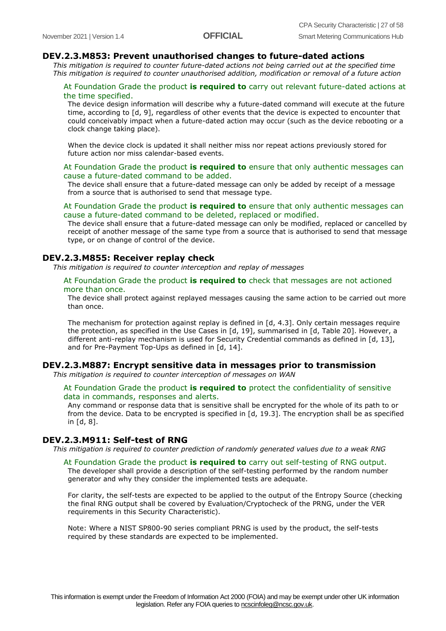#### **DEV.2.3.M853: Prevent unauthorised changes to future-dated actions**

*This mitigation is required to counter future-dated actions not being carried out at the specified time This mitigation is required to counter unauthorised addition, modification or removal of a future action*

#### At Foundation Grade the product **is required to** carry out relevant future-dated actions at the time specified.

The device design information will describe why a future-dated command will execute at the future time, according to [d, 9], regardless of other events that the device is expected to encounter that could conceivably impact when a future-dated action may occur (such as the device rebooting or a clock change taking place).

When the device clock is updated it shall neither miss nor repeat actions previously stored for future action nor miss calendar-based events.

#### At Foundation Grade the product **is required to** ensure that only authentic messages can cause a future-dated command to be added.

The device shall ensure that a future-dated message can only be added by receipt of a message from a source that is authorised to send that message type.

#### At Foundation Grade the product **is required to** ensure that only authentic messages can cause a future-dated command to be deleted, replaced or modified.

The device shall ensure that a future-dated message can only be modified, replaced or cancelled by receipt of another message of the same type from a source that is authorised to send that message type, or on change of control of the device.

#### **DEV.2.3.M855: Receiver replay check**

*This mitigation is required to counter interception and replay of messages*

#### At Foundation Grade the product **is required to** check that messages are not actioned more than once.

The device shall protect against replayed messages causing the same action to be carried out more than once.

The mechanism for protection against replay is defined in [d, 4.3]. Only certain messages require the protection, as specified in the Use Cases in [d, 19], summarised in [d, Table 20]. However, a different anti-replay mechanism is used for Security Credential commands as defined in [d, 13], and for Pre-Payment Top-Ups as defined in [d, 14].

#### **DEV.2.3.M887: Encrypt sensitive data in messages prior to transmission**

*This mitigation is required to counter interception of messages on WAN*

#### At Foundation Grade the product **is required to** protect the confidentiality of sensitive data in commands, responses and alerts.

Any command or response data that is sensitive shall be encrypted for the whole of its path to or from the device. Data to be encrypted is specified in [d, 19.3]. The encryption shall be as specified in [d, 8].

#### **DEV.2.3.M911: Self-test of RNG**

*This mitigation is required to counter prediction of randomly generated values due to a weak RNG*

At Foundation Grade the product **is required to** carry out self-testing of RNG output. The developer shall provide a description of the self-testing performed by the random number generator and why they consider the implemented tests are adequate.

For clarity, the self-tests are expected to be applied to the output of the Entropy Source (checking the final RNG output shall be covered by Evaluation/Cryptocheck of the PRNG, under the VER requirements in this Security Characteristic).

Note: Where a NIST SP800-90 series compliant PRNG is used by the product, the self-tests required by these standards are expected to be implemented.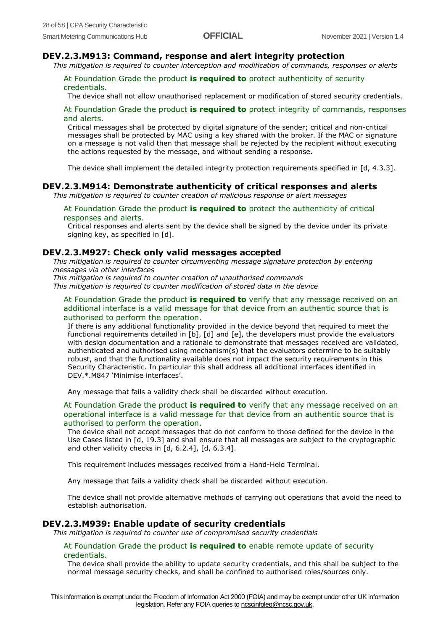#### **DEV.2.3.M913: Command, response and alert integrity protection**

*This mitigation is required to counter interception and modification of commands, responses or alerts*

#### At Foundation Grade the product **is required to** protect authenticity of security credentials.

The device shall not allow unauthorised replacement or modification of stored security credentials.

#### At Foundation Grade the product **is required to** protect integrity of commands, responses and alerts.

Critical messages shall be protected by digital signature of the sender; critical and non-critical messages shall be protected by MAC using a key shared with the broker. If the MAC or signature on a message is not valid then that message shall be rejected by the recipient without executing the actions requested by the message, and without sending a response.

The device shall implement the detailed integrity protection requirements specified in [d, 4.3.3].

#### **DEV.2.3.M914: Demonstrate authenticity of critical responses and alerts**

*This mitigation is required to counter creation of malicious response or alert messages*

#### At Foundation Grade the product **is required to** protect the authenticity of critical responses and alerts.

Critical responses and alerts sent by the device shall be signed by the device under its private signing key, as specified in [d].

#### **DEV.2.3.M927: Check only valid messages accepted**

*This mitigation is required to counter circumventing message signature protection by entering messages via other interfaces*

*This mitigation is required to counter creation of unauthorised commands*

*This mitigation is required to counter modification of stored data in the device*

At Foundation Grade the product **is required to** verify that any message received on an additional interface is a valid message for that device from an authentic source that is authorised to perform the operation.

If there is any additional functionality provided in the device beyond that required to meet the functional requirements detailed in [b], [d] and [e], the developers must provide the evaluators with design documentation and a rationale to demonstrate that messages received are validated, authenticated and authorised using mechanism(s) that the evaluators determine to be suitably robust, and that the functionality available does not impact the security requirements in this Security Characteristic. In particular this shall address all additional interfaces identified in DEV.\*.M847 'Minimise interfaces'.

Any message that fails a validity check shall be discarded without execution.

At Foundation Grade the product **is required to** verify that any message received on an operational interface is a valid message for that device from an authentic source that is authorised to perform the operation.

The device shall not accept messages that do not conform to those defined for the device in the Use Cases listed in [d, 19.3] and shall ensure that all messages are subject to the cryptographic and other validity checks in [d, 6.2.4], [d, 6.3.4].

This requirement includes messages received from a Hand-Held Terminal.

Any message that fails a validity check shall be discarded without execution.

The device shall not provide alternative methods of carrying out operations that avoid the need to establish authorisation.

#### **DEV.2.3.M939: Enable update of security credentials**

*This mitigation is required to counter use of compromised security credentials*

#### At Foundation Grade the product **is required to** enable remote update of security credentials.

The device shall provide the ability to update security credentials, and this shall be subject to the normal message security checks, and shall be confined to authorised roles/sources only.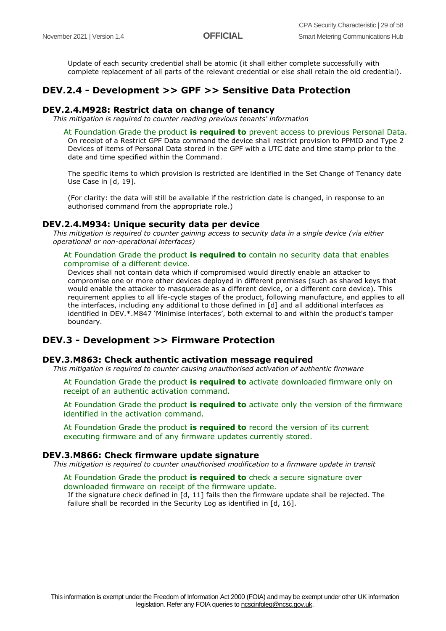Update of each security credential shall be atomic (it shall either complete successfully with complete replacement of all parts of the relevant credential or else shall retain the old credential).

### **DEV.2.4 - Development >> GPF >> Sensitive Data Protection**

#### **DEV.2.4.M928: Restrict data on change of tenancy**

*This mitigation is required to counter reading previous tenants' information*

At Foundation Grade the product **is required to** prevent access to previous Personal Data.

On receipt of a Restrict GPF Data command the device shall restrict provision to PPMID and Type 2 Devices of items of Personal Data stored in the GPF with a UTC date and time stamp prior to the date and time specified within the Command.

The specific items to which provision is restricted are identified in the Set Change of Tenancy date Use Case in [d, 19].

(For clarity: the data will still be available if the restriction date is changed, in response to an authorised command from the appropriate role.)

#### **DEV.2.4.M934: Unique security data per device**

*This mitigation is required to counter gaining access to security data in a single device (via either operational or non-operational interfaces)*

#### At Foundation Grade the product **is required to** contain no security data that enables compromise of a different device.

Devices shall not contain data which if compromised would directly enable an attacker to compromise one or more other devices deployed in different premises (such as shared keys that would enable the attacker to masquerade as a different device, or a different core device). This requirement applies to all life-cycle stages of the product, following manufacture, and applies to all the interfaces, including any additional to those defined in [d] and all additional interfaces as identified in DEV.\*.M847 'Minimise interfaces', both external to and within the product's tamper boundary.

#### **DEV.3 - Development >> Firmware Protection**

#### **DEV.3.M863: Check authentic activation message required**

*This mitigation is required to counter causing unauthorised activation of authentic firmware*

At Foundation Grade the product **is required to** activate downloaded firmware only on receipt of an authentic activation command.

At Foundation Grade the product **is required to** activate only the version of the firmware identified in the activation command.

At Foundation Grade the product **is required to** record the version of its current executing firmware and of any firmware updates currently stored.

#### **DEV.3.M866: Check firmware update signature**

*This mitigation is required to counter unauthorised modification to a firmware update in transit*

#### At Foundation Grade the product **is required to** check a secure signature over downloaded firmware on receipt of the firmware update.

If the signature check defined in [d, 11] fails then the firmware update shall be rejected. The failure shall be recorded in the Security Log as identified in [d, 16].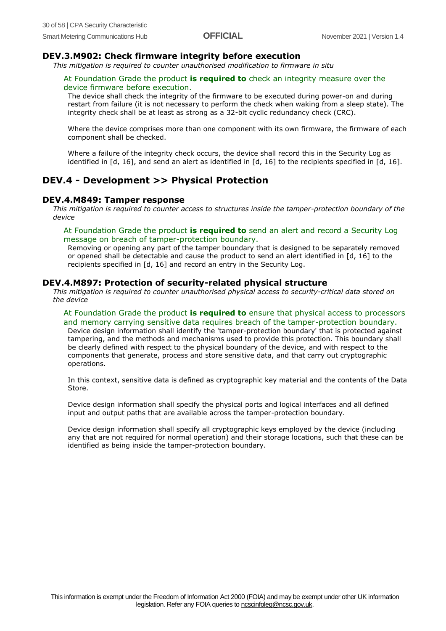#### **DEV.3.M902: Check firmware integrity before execution**

*This mitigation is required to counter unauthorised modification to firmware in situ*

#### At Foundation Grade the product **is required to** check an integrity measure over the device firmware before execution.

The device shall check the integrity of the firmware to be executed during power-on and during restart from failure (it is not necessary to perform the check when waking from a sleep state). The integrity check shall be at least as strong as a 32-bit cyclic redundancy check (CRC).

Where the device comprises more than one component with its own firmware, the firmware of each component shall be checked.

Where a failure of the integrity check occurs, the device shall record this in the Security Log as identified in [d, 16], and send an alert as identified in [d, 16] to the recipients specified in [d, 16].

## **DEV.4 - Development >> Physical Protection**

#### **DEV.4.M849: Tamper response**

*This mitigation is required to counter access to structures inside the tamper-protection boundary of the device*

#### At Foundation Grade the product **is required to** send an alert and record a Security Log message on breach of tamper-protection boundary.

Removing or opening any part of the tamper boundary that is designed to be separately removed or opened shall be detectable and cause the product to send an alert identified in [d, 16] to the recipients specified in [d, 16] and record an entry in the Security Log.

#### **DEV.4.M897: Protection of security-related physical structure**

*This mitigation is required to counter unauthorised physical access to security-critical data stored on the device*

#### At Foundation Grade the product **is required to** ensure that physical access to processors and memory carrying sensitive data requires breach of the tamper-protection boundary.

Device design information shall identify the 'tamper-protection boundary' that is protected against tampering, and the methods and mechanisms used to provide this protection. This boundary shall be clearly defined with respect to the physical boundary of the device, and with respect to the components that generate, process and store sensitive data, and that carry out cryptographic operations.

In this context, sensitive data is defined as cryptographic key material and the contents of the Data Store.

Device design information shall specify the physical ports and logical interfaces and all defined input and output paths that are available across the tamper-protection boundary.

Device design information shall specify all cryptographic keys employed by the device (including any that are not required for normal operation) and their storage locations, such that these can be identified as being inside the tamper-protection boundary.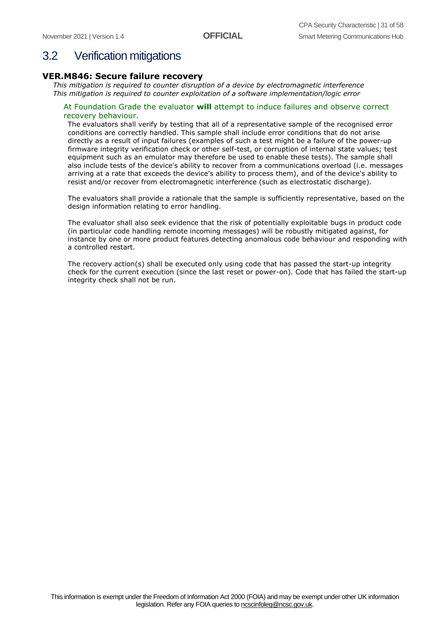## <span id="page-30-0"></span>3.2 Verification mitigations

#### **VER.M846: Secure failure recovery**

*This mitigation is required to counter disruption of a device by electromagnetic interference This mitigation is required to counter exploitation of a software implementation/logic error*

#### At Foundation Grade the evaluator **will** attempt to induce failures and observe correct recovery behaviour.

The evaluators shall verify by testing that all of a representative sample of the recognised error conditions are correctly handled. This sample shall include error conditions that do not arise directly as a result of input failures (examples of such a test might be a failure of the power-up firmware integrity verification check or other self-test, or corruption of internal state values; test equipment such as an emulator may therefore be used to enable these tests). The sample shall also include tests of the device's ability to recover from a communications overload (i.e. messages arriving at a rate that exceeds the device's ability to process them), and of the device's ability to resist and/or recover from electromagnetic interference (such as electrostatic discharge).

The evaluators shall provide a rationale that the sample is sufficiently representative, based on the design information relating to error handling.

The evaluator shall also seek evidence that the risk of potentially exploitable bugs in product code (in particular code handling remote incoming messages) will be robustly mitigated against, for instance by one or more product features detecting anomalous code behaviour and responding with a controlled restart.

The recovery action(s) shall be executed only using code that has passed the start-up integrity check for the current execution (since the last reset or power-on). Code that has failed the start-up integrity check shall not be run.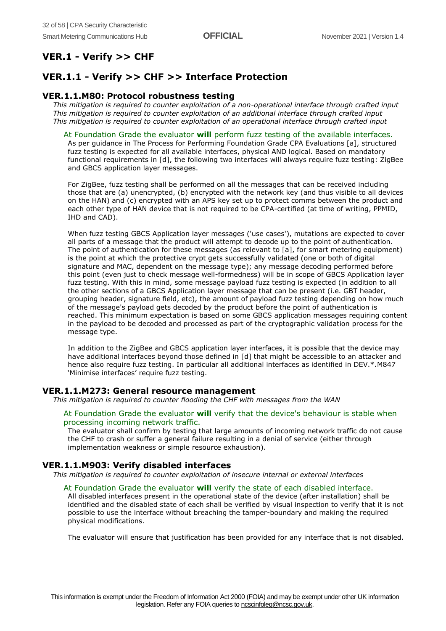## **VER.1 - Verify >> CHF**

#### **VER.1.1 - Verify >> CHF >> Interface Protection**

#### **VER.1.1.M80: Protocol robustness testing**

*This mitigation is required to counter exploitation of a non-operational interface through crafted input This mitigation is required to counter exploitation of an additional interface through crafted input This mitigation is required to counter exploitation of an operational interface through crafted input*

#### At Foundation Grade the evaluator **will** perform fuzz testing of the available interfaces.

As per guidance in The Process for Performing Foundation Grade CPA Evaluations [a], structured fuzz testing is expected for all available interfaces, physical AND logical. Based on mandatory functional requirements in [d], the following two interfaces will always require fuzz testing: ZigBee and GBCS application layer messages.

For ZigBee, fuzz testing shall be performed on all the messages that can be received including those that are (a) unencrypted, (b) encrypted with the network key (and thus visible to all devices on the HAN) and (c) encrypted with an APS key set up to protect comms between the product and each other type of HAN device that is not required to be CPA-certified (at time of writing, PPMID, IHD and CAD).

When fuzz testing GBCS Application layer messages ('use cases'), mutations are expected to cover all parts of a message that the product will attempt to decode up to the point of authentication. The point of authentication for these messages (as relevant to [a], for smart metering equipment) is the point at which the protective crypt gets successfully validated (one or both of digital signature and MAC, dependent on the message type); any message decoding performed before this point (even just to check message well-formedness) will be in scope of GBCS Application layer fuzz testing. With this in mind, some message payload fuzz testing is expected (in addition to all the other sections of a GBCS Application layer message that can be present (i.e. GBT header, grouping header, signature field, etc), the amount of payload fuzz testing depending on how much of the message's payload gets decoded by the product before the point of authentication is reached. This minimum expectation is based on some GBCS application messages requiring content in the payload to be decoded and processed as part of the cryptographic validation process for the message type.

In addition to the ZigBee and GBCS application layer interfaces, it is possible that the device may have additional interfaces beyond those defined in [d] that might be accessible to an attacker and hence also require fuzz testing. In particular all additional interfaces as identified in DEV.\*.M847 'Minimise interfaces' require fuzz testing.

#### **VER.1.1.M273: General resource management**

*This mitigation is required to counter flooding the CHF with messages from the WAN*

#### At Foundation Grade the evaluator **will** verify that the device's behaviour is stable when processing incoming network traffic.

The evaluator shall confirm by testing that large amounts of incoming network traffic do not cause the CHF to crash or suffer a general failure resulting in a denial of service (either through implementation weakness or simple resource exhaustion).

#### **VER.1.1.M903: Verify disabled interfaces**

*This mitigation is required to counter exploitation of insecure internal or external interfaces*

#### At Foundation Grade the evaluator **will** verify the state of each disabled interface.

All disabled interfaces present in the operational state of the device (after installation) shall be identified and the disabled state of each shall be verified by visual inspection to verify that it is not possible to use the interface without breaching the tamper-boundary and making the required physical modifications.

The evaluator will ensure that justification has been provided for any interface that is not disabled.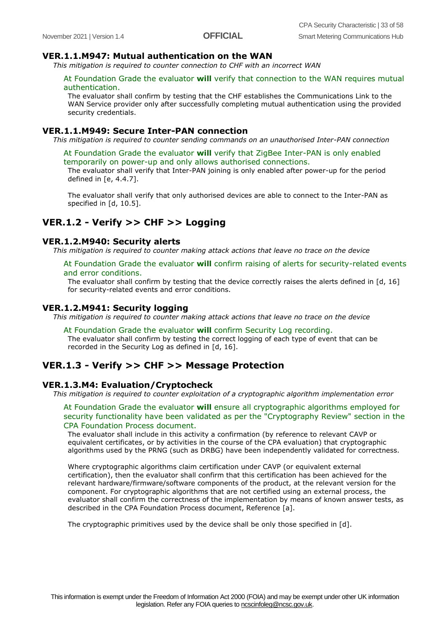#### **VER.1.1.M947: Mutual authentication on the WAN**

*This mitigation is required to counter connection to CHF with an incorrect WAN*

#### At Foundation Grade the evaluator **will** verify that connection to the WAN requires mutual authentication.

The evaluator shall confirm by testing that the CHF establishes the Communications Link to the WAN Service provider only after successfully completing mutual authentication using the provided security credentials.

#### **VER.1.1.M949: Secure Inter-PAN connection**

*This mitigation is required to counter sending commands on an unauthorised Inter-PAN connection*

At Foundation Grade the evaluator **will** verify that ZigBee Inter-PAN is only enabled temporarily on power-up and only allows authorised connections.

The evaluator shall verify that Inter-PAN joining is only enabled after power-up for the period defined in [e, 4.4.7].

The evaluator shall verify that only authorised devices are able to connect to the Inter-PAN as specified in [d, 10.5].

### **VER.1.2 - Verify >> CHF >> Logging**

#### **VER.1.2.M940: Security alerts**

*This mitigation is required to counter making attack actions that leave no trace on the device*

#### At Foundation Grade the evaluator **will** confirm raising of alerts for security-related events and error conditions.

The evaluator shall confirm by testing that the device correctly raises the alerts defined in  $[d, 16]$ for security-related events and error conditions.

#### **VER.1.2.M941: Security logging**

*This mitigation is required to counter making attack actions that leave no trace on the device*

#### At Foundation Grade the evaluator **will** confirm Security Log recording.

The evaluator shall confirm by testing the correct logging of each type of event that can be recorded in the Security Log as defined in [d, 16].

#### **VER.1.3 - Verify >> CHF >> Message Protection**

#### **VER.1.3.M4: Evaluation/Cryptocheck**

*This mitigation is required to counter exploitation of a cryptographic algorithm implementation error*

At Foundation Grade the evaluator **will** ensure all cryptographic algorithms employed for security functionality have been validated as per the "Cryptography Review" section in the CPA Foundation Process document.

The evaluator shall include in this activity a confirmation (by reference to relevant CAVP or equivalent certificates, or by activities in the course of the CPA evaluation) that cryptographic algorithms used by the PRNG (such as DRBG) have been independently validated for correctness.

Where cryptographic algorithms claim certification under CAVP (or equivalent external certification), then the evaluator shall confirm that this certification has been achieved for the relevant hardware/firmware/software components of the product, at the relevant version for the component. For cryptographic algorithms that are not certified using an external process, the evaluator shall confirm the correctness of the implementation by means of known answer tests, as described in the CPA Foundation Process document, Reference [a].

The cryptographic primitives used by the device shall be only those specified in [d].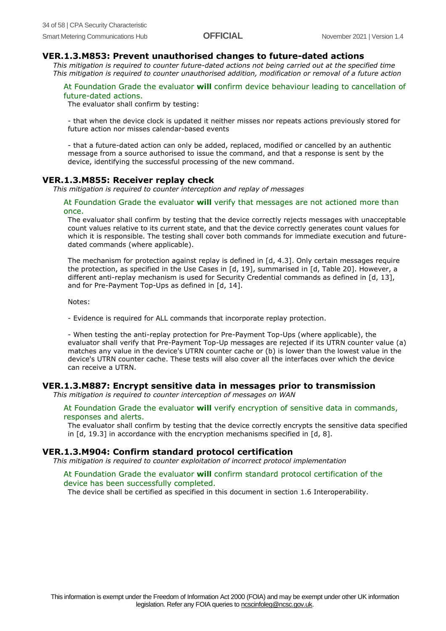#### **VER.1.3.M853: Prevent unauthorised changes to future-dated actions**

*This mitigation is required to counter future-dated actions not being carried out at the specified time This mitigation is required to counter unauthorised addition, modification or removal of a future action*

At Foundation Grade the evaluator **will** confirm device behaviour leading to cancellation of future-dated actions.

The evaluator shall confirm by testing:

- that when the device clock is updated it neither misses nor repeats actions previously stored for future action nor misses calendar-based events

- that a future-dated action can only be added, replaced, modified or cancelled by an authentic message from a source authorised to issue the command, and that a response is sent by the device, identifying the successful processing of the new command.

#### **VER.1.3.M855: Receiver replay check**

*This mitigation is required to counter interception and replay of messages*

#### At Foundation Grade the evaluator **will** verify that messages are not actioned more than once.

The evaluator shall confirm by testing that the device correctly rejects messages with unacceptable count values relative to its current state, and that the device correctly generates count values for which it is responsible. The testing shall cover both commands for immediate execution and futuredated commands (where applicable).

The mechanism for protection against replay is defined in [d, 4.3]. Only certain messages require the protection, as specified in the Use Cases in [d, 19], summarised in [d, Table 20]. However, a different anti-replay mechanism is used for Security Credential commands as defined in [d, 13], and for Pre-Payment Top-Ups as defined in [d, 14].

Notes:

- Evidence is required for ALL commands that incorporate replay protection.

- When testing the anti-replay protection for Pre-Payment Top-Ups (where applicable), the evaluator shall verify that Pre-Payment Top-Up messages are rejected if its UTRN counter value (a) matches any value in the device's UTRN counter cache or (b) is lower than the lowest value in the device's UTRN counter cache. These tests will also cover all the interfaces over which the device can receive a UTRN.

#### **VER.1.3.M887: Encrypt sensitive data in messages prior to transmission**

*This mitigation is required to counter interception of messages on WAN*

At Foundation Grade the evaluator **will** verify encryption of sensitive data in commands, responses and alerts.

The evaluator shall confirm by testing that the device correctly encrypts the sensitive data specified in [d, 19.3] in accordance with the encryption mechanisms specified in [d, 8].

#### **VER.1.3.M904: Confirm standard protocol certification**

*This mitigation is required to counter exploitation of incorrect protocol implementation*

#### At Foundation Grade the evaluator **will** confirm standard protocol certification of the device has been successfully completed.

The device shall be certified as specified in this document in section 1.6 Interoperability.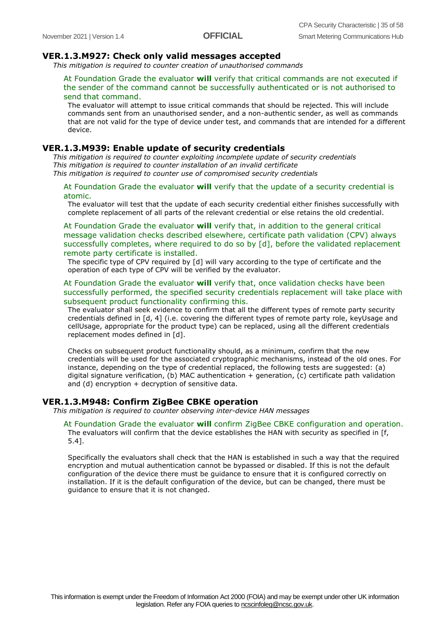#### **VER.1.3.M927: Check only valid messages accepted**

*This mitigation is required to counter creation of unauthorised commands*

#### At Foundation Grade the evaluator **will** verify that critical commands are not executed if the sender of the command cannot be successfully authenticated or is not authorised to send that command.

The evaluator will attempt to issue critical commands that should be rejected. This will include commands sent from an unauthorised sender, and a non-authentic sender, as well as commands that are not valid for the type of device under test, and commands that are intended for a different device.

#### **VER.1.3.M939: Enable update of security credentials**

*This mitigation is required to counter exploiting incomplete update of security credentials This mitigation is required to counter installation of an invalid certificate This mitigation is required to counter use of compromised security credentials*

At Foundation Grade the evaluator **will** verify that the update of a security credential is atomic.

The evaluator will test that the update of each security credential either finishes successfully with complete replacement of all parts of the relevant credential or else retains the old credential.

At Foundation Grade the evaluator **will** verify that, in addition to the general critical message validation checks described elsewhere, certificate path validation (CPV) always successfully completes, where required to do so by [d], before the validated replacement remote party certificate is installed.

The specific type of CPV required by [d] will vary according to the type of certificate and the operation of each type of CPV will be verified by the evaluator.

At Foundation Grade the evaluator **will** verify that, once validation checks have been successfully performed, the specified security credentials replacement will take place with subsequent product functionality confirming this.

The evaluator shall seek evidence to confirm that all the different types of remote party security credentials defined in [d, 4] (i.e. covering the different types of remote party role, keyUsage and cellUsage, appropriate for the product type) can be replaced, using all the different credentials replacement modes defined in [d].

Checks on subsequent product functionality should, as a minimum, confirm that the new credentials will be used for the associated cryptographic mechanisms, instead of the old ones. For instance, depending on the type of credential replaced, the following tests are suggested: (a) digital signature verification, (b) MAC authentication + generation, (c) certificate path validation and  $(d)$  encryption  $+$  decryption of sensitive data.

#### **VER.1.3.M948: Confirm ZigBee CBKE operation**

*This mitigation is required to counter observing inter-device HAN messages*

#### At Foundation Grade the evaluator **will** confirm ZigBee CBKE configuration and operation. The evaluators will confirm that the device establishes the HAN with security as specified in [f, 5.4].

Specifically the evaluators shall check that the HAN is established in such a way that the required encryption and mutual authentication cannot be bypassed or disabled. If this is not the default configuration of the device there must be guidance to ensure that it is configured correctly on installation. If it is the default configuration of the device, but can be changed, there must be guidance to ensure that it is not changed.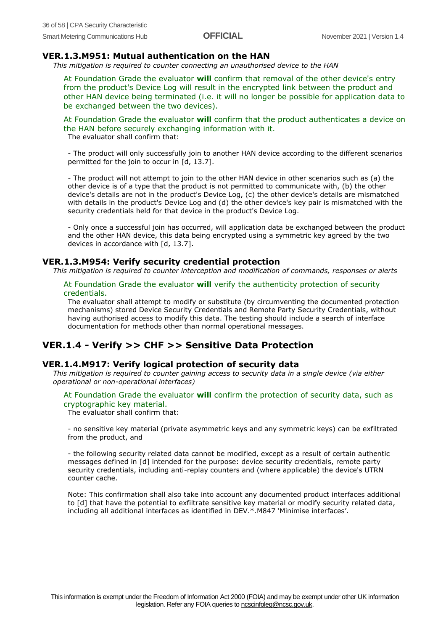#### **VER.1.3.M951: Mutual authentication on the HAN**

*This mitigation is required to counter connecting an unauthorised device to the HAN*

At Foundation Grade the evaluator **will** confirm that removal of the other device's entry from the product's Device Log will result in the encrypted link between the product and other HAN device being terminated (i.e. it will no longer be possible for application data to be exchanged between the two devices).

At Foundation Grade the evaluator **will** confirm that the product authenticates a device on the HAN before securely exchanging information with it. The evaluator shall confirm that:

- The product will only successfully join to another HAN device according to the different scenarios permitted for the join to occur in [d, 13.7].

- The product will not attempt to join to the other HAN device in other scenarios such as (a) the other device is of a type that the product is not permitted to communicate with, (b) the other device's details are not in the product's Device Log, (c) the other device's details are mismatched with details in the product's Device Log and (d) the other device's key pair is mismatched with the security credentials held for that device in the product's Device Log.

- Only once a successful join has occurred, will application data be exchanged between the product and the other HAN device, this data being encrypted using a symmetric key agreed by the two devices in accordance with [d, 13.7].

#### **VER.1.3.M954: Verify security credential protection**

*This mitigation is required to counter interception and modification of commands, responses or alerts*

At Foundation Grade the evaluator **will** verify the authenticity protection of security credentials.

The evaluator shall attempt to modify or substitute (by circumventing the documented protection mechanisms) stored Device Security Credentials and Remote Party Security Credentials, without having authorised access to modify this data. The testing should include a search of interface documentation for methods other than normal operational messages.

#### **VER.1.4 - Verify >> CHF >> Sensitive Data Protection**

#### **VER.1.4.M917: Verify logical protection of security data**

*This mitigation is required to counter gaining access to security data in a single device (via either operational or non-operational interfaces)*

#### At Foundation Grade the evaluator **will** confirm the protection of security data, such as cryptographic key material.

The evaluator shall confirm that:

- no sensitive key material (private asymmetric keys and any symmetric keys) can be exfiltrated from the product, and

- the following security related data cannot be modified, except as a result of certain authentic messages defined in [d] intended for the purpose: device security credentials, remote party security credentials, including anti-replay counters and (where applicable) the device's UTRN counter cache.

Note: This confirmation shall also take into account any documented product interfaces additional to [d] that have the potential to exfiltrate sensitive key material or modify security related data, including all additional interfaces as identified in DEV.\*.M847 'Minimise interfaces'.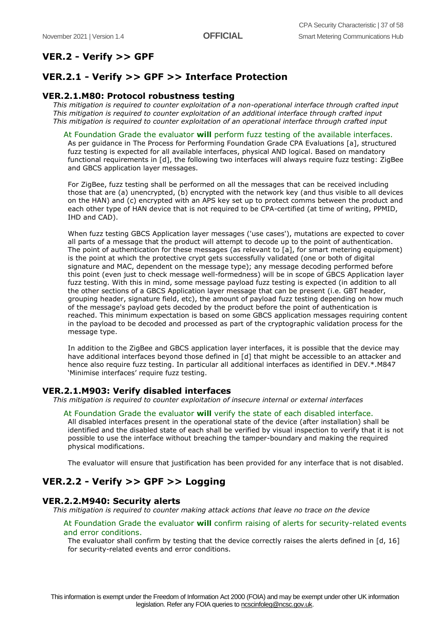## **VER.2 - Verify >> GPF**

## **VER.2.1 - Verify >> GPF >> Interface Protection**

### **VER.2.1.M80: Protocol robustness testing**

*This mitigation is required to counter exploitation of a non-operational interface through crafted input This mitigation is required to counter exploitation of an additional interface through crafted input This mitigation is required to counter exploitation of an operational interface through crafted input*

#### At Foundation Grade the evaluator **will** perform fuzz testing of the available interfaces.

As per guidance in The Process for Performing Foundation Grade CPA Evaluations [a], structured fuzz testing is expected for all available interfaces, physical AND logical. Based on mandatory functional requirements in [d], the following two interfaces will always require fuzz testing: ZigBee and GBCS application layer messages.

For ZigBee, fuzz testing shall be performed on all the messages that can be received including those that are (a) unencrypted, (b) encrypted with the network key (and thus visible to all devices on the HAN) and (c) encrypted with an APS key set up to protect comms between the product and each other type of HAN device that is not required to be CPA-certified (at time of writing, PPMID, IHD and CAD).

When fuzz testing GBCS Application layer messages ('use cases'), mutations are expected to cover all parts of a message that the product will attempt to decode up to the point of authentication. The point of authentication for these messages (as relevant to [a], for smart metering equipment) is the point at which the protective crypt gets successfully validated (one or both of digital signature and MAC, dependent on the message type); any message decoding performed before this point (even just to check message well-formedness) will be in scope of GBCS Application layer fuzz testing. With this in mind, some message payload fuzz testing is expected (in addition to all the other sections of a GBCS Application layer message that can be present (i.e. GBT header, grouping header, signature field, etc), the amount of payload fuzz testing depending on how much of the message's payload gets decoded by the product before the point of authentication is reached. This minimum expectation is based on some GBCS application messages requiring content in the payload to be decoded and processed as part of the cryptographic validation process for the message type.

In addition to the ZigBee and GBCS application layer interfaces, it is possible that the device may have additional interfaces beyond those defined in [d] that might be accessible to an attacker and hence also require fuzz testing. In particular all additional interfaces as identified in DEV.\*.M847 'Minimise interfaces' require fuzz testing.

## **VER.2.1.M903: Verify disabled interfaces**

*This mitigation is required to counter exploitation of insecure internal or external interfaces*

#### At Foundation Grade the evaluator **will** verify the state of each disabled interface.

All disabled interfaces present in the operational state of the device (after installation) shall be identified and the disabled state of each shall be verified by visual inspection to verify that it is not possible to use the interface without breaching the tamper-boundary and making the required physical modifications.

The evaluator will ensure that justification has been provided for any interface that is not disabled.

## **VER.2.2 - Verify >> GPF >> Logging**

#### **VER.2.2.M940: Security alerts**

*This mitigation is required to counter making attack actions that leave no trace on the device*

#### At Foundation Grade the evaluator **will** confirm raising of alerts for security-related events and error conditions.

The evaluator shall confirm by testing that the device correctly raises the alerts defined in [d, 16] for security-related events and error conditions.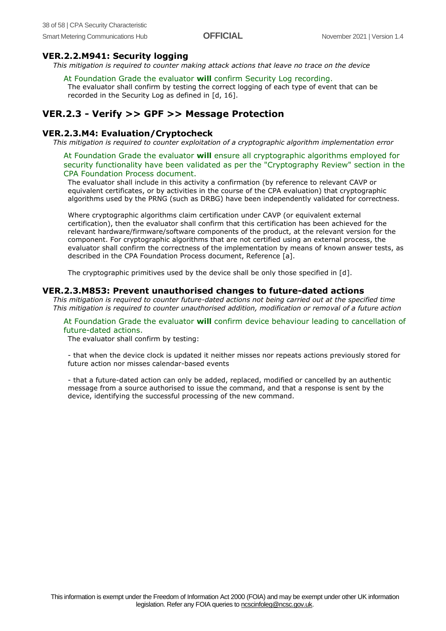#### **VER.2.2.M941: Security logging**

*This mitigation is required to counter making attack actions that leave no trace on the device*

#### At Foundation Grade the evaluator **will** confirm Security Log recording.

The evaluator shall confirm by testing the correct logging of each type of event that can be recorded in the Security Log as defined in [d, 16].

### **VER.2.3 - Verify >> GPF >> Message Protection**

#### **VER.2.3.M4: Evaluation/Cryptocheck**

*This mitigation is required to counter exploitation of a cryptographic algorithm implementation error*

At Foundation Grade the evaluator **will** ensure all cryptographic algorithms employed for security functionality have been validated as per the "Cryptography Review" section in the CPA Foundation Process document.

The evaluator shall include in this activity a confirmation (by reference to relevant CAVP or equivalent certificates, or by activities in the course of the CPA evaluation) that cryptographic algorithms used by the PRNG (such as DRBG) have been independently validated for correctness.

Where cryptographic algorithms claim certification under CAVP (or equivalent external certification), then the evaluator shall confirm that this certification has been achieved for the relevant hardware/firmware/software components of the product, at the relevant version for the component. For cryptographic algorithms that are not certified using an external process, the evaluator shall confirm the correctness of the implementation by means of known answer tests, as described in the CPA Foundation Process document, Reference [a].

The cryptographic primitives used by the device shall be only those specified in [d].

#### **VER.2.3.M853: Prevent unauthorised changes to future-dated actions**

*This mitigation is required to counter future-dated actions not being carried out at the specified time This mitigation is required to counter unauthorised addition, modification or removal of a future action*

#### At Foundation Grade the evaluator **will** confirm device behaviour leading to cancellation of future-dated actions.

The evaluator shall confirm by testing:

- that when the device clock is updated it neither misses nor repeats actions previously stored for future action nor misses calendar-based events

- that a future-dated action can only be added, replaced, modified or cancelled by an authentic message from a source authorised to issue the command, and that a response is sent by the device, identifying the successful processing of the new command.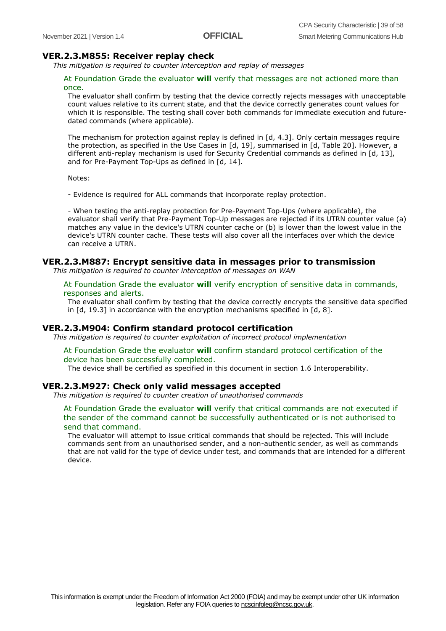#### **VER.2.3.M855: Receiver replay check**

*This mitigation is required to counter interception and replay of messages*

#### At Foundation Grade the evaluator **will** verify that messages are not actioned more than once.

The evaluator shall confirm by testing that the device correctly rejects messages with unacceptable count values relative to its current state, and that the device correctly generates count values for which it is responsible. The testing shall cover both commands for immediate execution and futuredated commands (where applicable).

The mechanism for protection against replay is defined in  $[d, 4.3]$ . Only certain messages require the protection, as specified in the Use Cases in [d, 19], summarised in [d, Table 20]. However, a different anti-replay mechanism is used for Security Credential commands as defined in [d, 13], and for Pre-Payment Top-Ups as defined in [d, 14].

Notes:

- Evidence is required for ALL commands that incorporate replay protection.

- When testing the anti-replay protection for Pre-Payment Top-Ups (where applicable), the evaluator shall verify that Pre-Payment Top-Up messages are rejected if its UTRN counter value (a) matches any value in the device's UTRN counter cache or (b) is lower than the lowest value in the device's UTRN counter cache. These tests will also cover all the interfaces over which the device can receive a UTRN.

#### **VER.2.3.M887: Encrypt sensitive data in messages prior to transmission**

*This mitigation is required to counter interception of messages on WAN*

#### At Foundation Grade the evaluator **will** verify encryption of sensitive data in commands, responses and alerts.

The evaluator shall confirm by testing that the device correctly encrypts the sensitive data specified in [d, 19.3] in accordance with the encryption mechanisms specified in [d, 8].

#### **VER.2.3.M904: Confirm standard protocol certification**

*This mitigation is required to counter exploitation of incorrect protocol implementation*

#### At Foundation Grade the evaluator **will** confirm standard protocol certification of the device has been successfully completed.

The device shall be certified as specified in this document in section 1.6 Interoperability.

#### **VER.2.3.M927: Check only valid messages accepted**

*This mitigation is required to counter creation of unauthorised commands*

#### At Foundation Grade the evaluator **will** verify that critical commands are not executed if the sender of the command cannot be successfully authenticated or is not authorised to send that command.

The evaluator will attempt to issue critical commands that should be rejected. This will include commands sent from an unauthorised sender, and a non-authentic sender, as well as commands that are not valid for the type of device under test, and commands that are intended for a different device.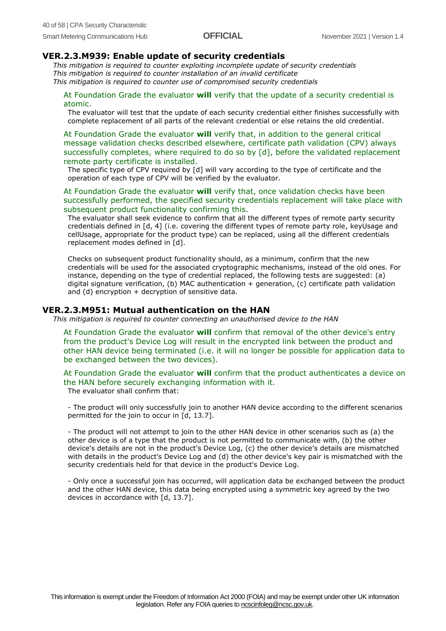#### **VER.2.3.M939: Enable update of security credentials**

*This mitigation is required to counter exploiting incomplete update of security credentials This mitigation is required to counter installation of an invalid certificate This mitigation is required to counter use of compromised security credentials*

At Foundation Grade the evaluator **will** verify that the update of a security credential is atomic.

The evaluator will test that the update of each security credential either finishes successfully with complete replacement of all parts of the relevant credential or else retains the old credential.

At Foundation Grade the evaluator **will** verify that, in addition to the general critical message validation checks described elsewhere, certificate path validation (CPV) always successfully completes, where required to do so by [d], before the validated replacement remote party certificate is installed.

The specific type of CPV required by [d] will vary according to the type of certificate and the operation of each type of CPV will be verified by the evaluator.

At Foundation Grade the evaluator **will** verify that, once validation checks have been successfully performed, the specified security credentials replacement will take place with subsequent product functionality confirming this.

The evaluator shall seek evidence to confirm that all the different types of remote party security credentials defined in [d, 4] (i.e. covering the different types of remote party role, keyUsage and cellUsage, appropriate for the product type) can be replaced, using all the different credentials replacement modes defined in [d].

Checks on subsequent product functionality should, as a minimum, confirm that the new credentials will be used for the associated cryptographic mechanisms, instead of the old ones. For instance, depending on the type of credential replaced, the following tests are suggested: (a) digital signature verification, (b) MAC authentication + generation, (c) certificate path validation and (d) encryption  $+$  decryption of sensitive data.

#### **VER.2.3.M951: Mutual authentication on the HAN**

*This mitigation is required to counter connecting an unauthorised device to the HAN*

At Foundation Grade the evaluator **will** confirm that removal of the other device's entry from the product's Device Log will result in the encrypted link between the product and other HAN device being terminated (i.e. it will no longer be possible for application data to be exchanged between the two devices).

At Foundation Grade the evaluator **will** confirm that the product authenticates a device on the HAN before securely exchanging information with it. The evaluator shall confirm that:

- The product will only successfully join to another HAN device according to the different scenarios permitted for the join to occur in [d, 13.7].

- The product will not attempt to join to the other HAN device in other scenarios such as (a) the other device is of a type that the product is not permitted to communicate with, (b) the other device's details are not in the product's Device Log, (c) the other device's details are mismatched with details in the product's Device Log and (d) the other device's key pair is mismatched with the security credentials held for that device in the product's Device Log.

- Only once a successful join has occurred, will application data be exchanged between the product and the other HAN device, this data being encrypted using a symmetric key agreed by the two devices in accordance with [d, 13.7].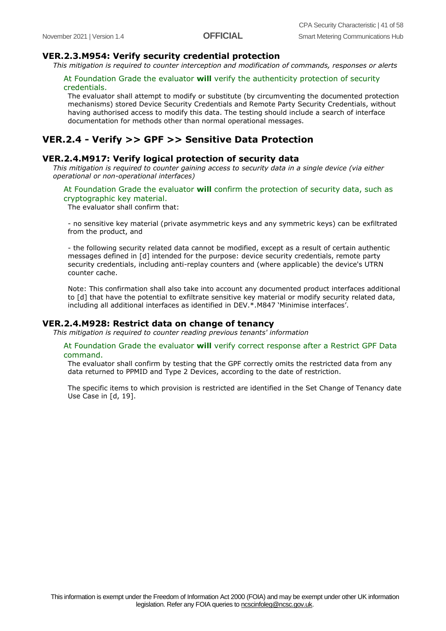#### **VER.2.3.M954: Verify security credential protection**

*This mitigation is required to counter interception and modification of commands, responses or alerts*

#### At Foundation Grade the evaluator **will** verify the authenticity protection of security credentials.

The evaluator shall attempt to modify or substitute (by circumventing the documented protection mechanisms) stored Device Security Credentials and Remote Party Security Credentials, without having authorised access to modify this data. The testing should include a search of interface documentation for methods other than normal operational messages.

#### **VER.2.4 - Verify >> GPF >> Sensitive Data Protection**

#### **VER.2.4.M917: Verify logical protection of security data**

*This mitigation is required to counter gaining access to security data in a single device (via either operational or non-operational interfaces)*

#### At Foundation Grade the evaluator **will** confirm the protection of security data, such as cryptographic key material.

The evaluator shall confirm that:

- no sensitive key material (private asymmetric keys and any symmetric keys) can be exfiltrated from the product, and

- the following security related data cannot be modified, except as a result of certain authentic messages defined in [d] intended for the purpose: device security credentials, remote party security credentials, including anti-replay counters and (where applicable) the device's UTRN counter cache.

Note: This confirmation shall also take into account any documented product interfaces additional to [d] that have the potential to exfiltrate sensitive key material or modify security related data, including all additional interfaces as identified in DEV.\*.M847 'Minimise interfaces'.

#### **VER.2.4.M928: Restrict data on change of tenancy**

*This mitigation is required to counter reading previous tenants' information*

#### At Foundation Grade the evaluator **will** verify correct response after a Restrict GPF Data command.

The evaluator shall confirm by testing that the GPF correctly omits the restricted data from any data returned to PPMID and Type 2 Devices, according to the date of restriction.

The specific items to which provision is restricted are identified in the Set Change of Tenancy date Use Case in [d, 19].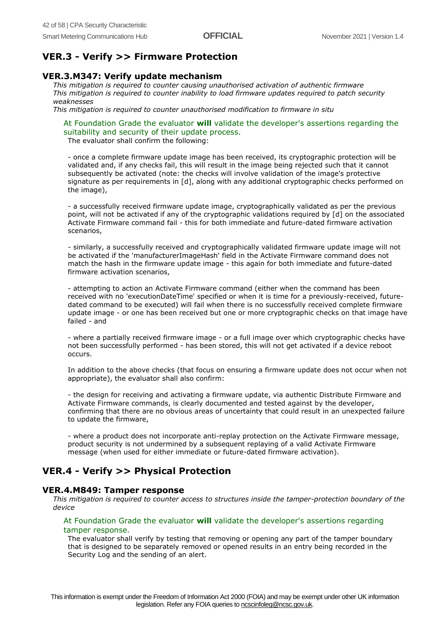### **VER.3 - Verify >> Firmware Protection**

#### **VER.3.M347: Verify update mechanism**

*This mitigation is required to counter causing unauthorised activation of authentic firmware This mitigation is required to counter inability to load firmware updates required to patch security weaknesses*

*This mitigation is required to counter unauthorised modification to firmware in situ*

At Foundation Grade the evaluator **will** validate the developer's assertions regarding the suitability and security of their update process.

The evaluator shall confirm the following:

- once a complete firmware update image has been received, its cryptographic protection will be validated and, if any checks fail, this will result in the image being rejected such that it cannot subsequently be activated (note: the checks will involve validation of the image's protective signature as per requirements in [d], along with any additional cryptographic checks performed on the image),

- a successfully received firmware update image, cryptographically validated as per the previous point, will not be activated if any of the cryptographic validations required by [d] on the associated Activate Firmware command fail - this for both immediate and future-dated firmware activation scenarios,

- similarly, a successfully received and cryptographically validated firmware update image will not be activated if the 'manufacturerImageHash' field in the Activate Firmware command does not match the hash in the firmware update image - this again for both immediate and future-dated firmware activation scenarios,

- attempting to action an Activate Firmware command (either when the command has been received with no 'executionDateTime' specified or when it is time for a previously-received, futuredated command to be executed) will fail when there is no successfully received complete firmware update image - or one has been received but one or more cryptographic checks on that image have failed - and

- where a partially received firmware image - or a full image over which cryptographic checks have not been successfully performed - has been stored, this will not get activated if a device reboot occurs.

In addition to the above checks (that focus on ensuring a firmware update does not occur when not appropriate), the evaluator shall also confirm:

- the design for receiving and activating a firmware update, via authentic Distribute Firmware and Activate Firmware commands, is clearly documented and tested against by the developer, confirming that there are no obvious areas of uncertainty that could result in an unexpected failure to update the firmware,

- where a product does not incorporate anti-replay protection on the Activate Firmware message, product security is not undermined by a subsequent replaying of a valid Activate Firmware message (when used for either immediate or future-dated firmware activation).

#### **VER.4 - Verify >> Physical Protection**

#### **VER.4.M849: Tamper response**

*This mitigation is required to counter access to structures inside the tamper-protection boundary of the device*

#### At Foundation Grade the evaluator **will** validate the developer's assertions regarding tamper response.

The evaluator shall verify by testing that removing or opening any part of the tamper boundary that is designed to be separately removed or opened results in an entry being recorded in the Security Log and the sending of an alert.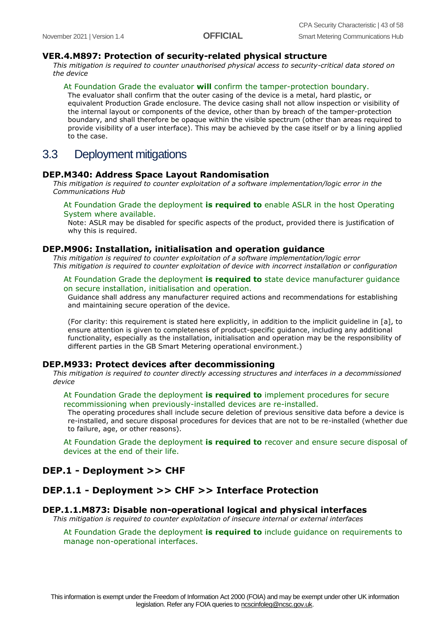#### **VER.4.M897: Protection of security-related physical structure**

*This mitigation is required to counter unauthorised physical access to security-critical data stored on the device*

#### At Foundation Grade the evaluator **will** confirm the tamper-protection boundary.

The evaluator shall confirm that the outer casing of the device is a metal, hard plastic, or equivalent Production Grade enclosure. The device casing shall not allow inspection or visibility of the internal layout or components of the device, other than by breach of the tamper-protection boundary, and shall therefore be opaque within the visible spectrum (other than areas required to provide visibility of a user interface). This may be achieved by the case itself or by a lining applied to the case.

## <span id="page-42-0"></span>3.3 Deployment mitigations

#### **DEP.M340: Address Space Layout Randomisation**

*This mitigation is required to counter exploitation of a software implementation/logic error in the Communications Hub*

#### At Foundation Grade the deployment **is required to** enable ASLR in the host Operating System where available.

Note: ASLR may be disabled for specific aspects of the product, provided there is justification of why this is required.

#### **DEP.M906: Installation, initialisation and operation guidance**

*This mitigation is required to counter exploitation of a software implementation/logic error This mitigation is required to counter exploitation of device with incorrect installation or configuration*

#### At Foundation Grade the deployment **is required to** state device manufacturer guidance on secure installation, initialisation and operation.

Guidance shall address any manufacturer required actions and recommendations for establishing and maintaining secure operation of the device.

(For clarity: this requirement is stated here explicitly, in addition to the implicit guideline in [a], to ensure attention is given to completeness of product-specific guidance, including any additional functionality, especially as the installation, initialisation and operation may be the responsibility of different parties in the GB Smart Metering operational environment.)

#### **DEP.M933: Protect devices after decommissioning**

*This mitigation is required to counter directly accessing structures and interfaces in a decommissioned device*

#### At Foundation Grade the deployment **is required to** implement procedures for secure recommissioning when previously-installed devices are re-installed.

The operating procedures shall include secure deletion of previous sensitive data before a device is re-installed, and secure disposal procedures for devices that are not to be re-installed (whether due to failure, age, or other reasons).

At Foundation Grade the deployment **is required to** recover and ensure secure disposal of devices at the end of their life.

#### **DEP.1 - Deployment >> CHF**

#### **DEP.1.1 - Deployment >> CHF >> Interface Protection**

#### **DEP.1.1.M873: Disable non-operational logical and physical interfaces**

*This mitigation is required to counter exploitation of insecure internal or external interfaces*

At Foundation Grade the deployment **is required to** include guidance on requirements to manage non-operational interfaces.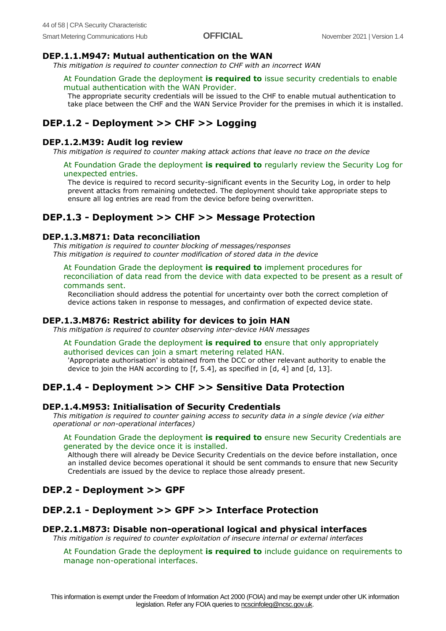#### **DEP.1.1.M947: Mutual authentication on the WAN**

*This mitigation is required to counter connection to CHF with an incorrect WAN*

#### At Foundation Grade the deployment **is required to** issue security credentials to enable mutual authentication with the WAN Provider.

The appropriate security credentials will be issued to the CHF to enable mutual authentication to take place between the CHF and the WAN Service Provider for the premises in which it is installed.

## **DEP.1.2 - Deployment >> CHF >> Logging**

#### **DEP.1.2.M39: Audit log review**

*This mitigation is required to counter making attack actions that leave no trace on the device*

At Foundation Grade the deployment **is required to** regularly review the Security Log for unexpected entries.

The device is required to record security-significant events in the Security Log, in order to help prevent attacks from remaining undetected. The deployment should take appropriate steps to ensure all log entries are read from the device before being overwritten.

## **DEP.1.3 - Deployment >> CHF >> Message Protection**

#### **DEP.1.3.M871: Data reconciliation**

*This mitigation is required to counter blocking of messages/responses This mitigation is required to counter modification of stored data in the device*

At Foundation Grade the deployment **is required to** implement procedures for reconciliation of data read from the device with data expected to be present as a result of commands sent.

Reconciliation should address the potential for uncertainty over both the correct completion of device actions taken in response to messages, and confirmation of expected device state.

#### **DEP.1.3.M876: Restrict ability for devices to join HAN**

*This mitigation is required to counter observing inter-device HAN messages*

At Foundation Grade the deployment **is required to** ensure that only appropriately authorised devices can join a smart metering related HAN.

'Appropriate authorisation' is obtained from the DCC or other relevant authority to enable the device to join the HAN according to [f, 5.4], as specified in [d, 4] and [d, 13].

## **DEP.1.4 - Deployment >> CHF >> Sensitive Data Protection**

#### **DEP.1.4.M953: Initialisation of Security Credentials**

*This mitigation is required to counter gaining access to security data in a single device (via either operational or non-operational interfaces)*

#### At Foundation Grade the deployment **is required to** ensure new Security Credentials are generated by the device once it is installed.

Although there will already be Device Security Credentials on the device before installation, once an installed device becomes operational it should be sent commands to ensure that new Security Credentials are issued by the device to replace those already present.

## **DEP.2 - Deployment >> GPF**

## **DEP.2.1 - Deployment >> GPF >> Interface Protection**

#### **DEP.2.1.M873: Disable non-operational logical and physical interfaces**

*This mitigation is required to counter exploitation of insecure internal or external interfaces*

At Foundation Grade the deployment **is required to** include guidance on requirements to manage non-operational interfaces.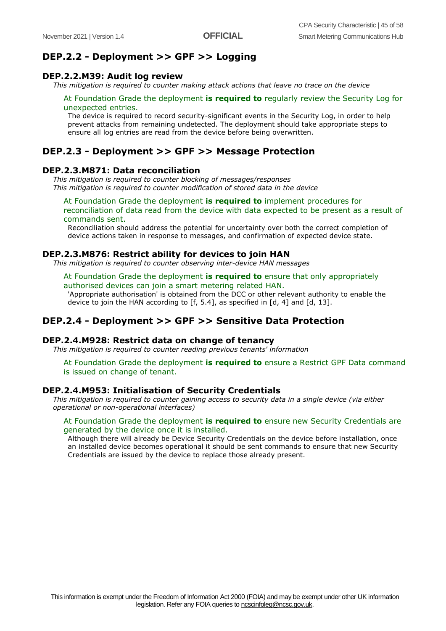#### **DEP.2.2 - Deployment >> GPF >> Logging**

#### **DEP.2.2.M39: Audit log review**

*This mitigation is required to counter making attack actions that leave no trace on the device*

#### At Foundation Grade the deployment **is required to** regularly review the Security Log for unexpected entries.

The device is required to record security-significant events in the Security Log, in order to help prevent attacks from remaining undetected. The deployment should take appropriate steps to ensure all log entries are read from the device before being overwritten.

#### **DEP.2.3 - Deployment >> GPF >> Message Protection**

#### **DEP.2.3.M871: Data reconciliation**

*This mitigation is required to counter blocking of messages/responses This mitigation is required to counter modification of stored data in the device*

At Foundation Grade the deployment **is required to** implement procedures for reconciliation of data read from the device with data expected to be present as a result of commands sent.

Reconciliation should address the potential for uncertainty over both the correct completion of device actions taken in response to messages, and confirmation of expected device state.

#### **DEP.2.3.M876: Restrict ability for devices to join HAN**

*This mitigation is required to counter observing inter-device HAN messages*

#### At Foundation Grade the deployment **is required to** ensure that only appropriately

authorised devices can join a smart metering related HAN. 'Appropriate authorisation' is obtained from the DCC or other relevant authority to enable the device to join the HAN according to [f, 5.4], as specified in [d, 4] and [d, 13].

#### **DEP.2.4 - Deployment >> GPF >> Sensitive Data Protection**

#### **DEP.2.4.M928: Restrict data on change of tenancy**

*This mitigation is required to counter reading previous tenants' information*

At Foundation Grade the deployment **is required to** ensure a Restrict GPF Data command is issued on change of tenant.

#### **DEP.2.4.M953: Initialisation of Security Credentials**

*This mitigation is required to counter gaining access to security data in a single device (via either operational or non-operational interfaces)*

#### At Foundation Grade the deployment **is required to** ensure new Security Credentials are generated by the device once it is installed.

Although there will already be Device Security Credentials on the device before installation, once an installed device becomes operational it should be sent commands to ensure that new Security Credentials are issued by the device to replace those already present.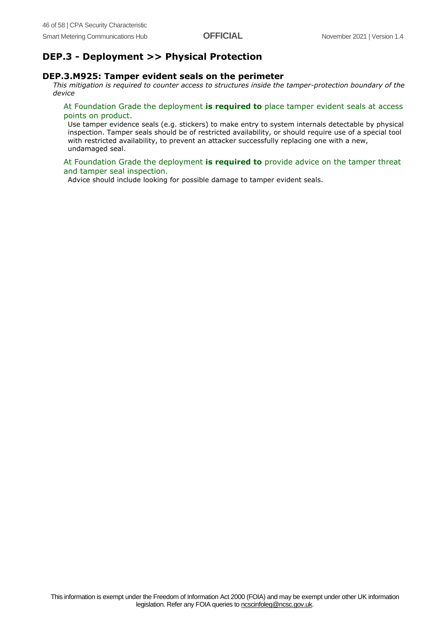## **DEP.3 - Deployment >> Physical Protection**

#### **DEP.3.M925: Tamper evident seals on the perimeter**

*This mitigation is required to counter access to structures inside the tamper-protection boundary of the device*

#### At Foundation Grade the deployment **is required to** place tamper evident seals at access points on product.

Use tamper evidence seals (e.g. stickers) to make entry to system internals detectable by physical inspection. Tamper seals should be of restricted availability, or should require use of a special tool with restricted availability, to prevent an attacker successfully replacing one with a new, undamaged seal.

#### At Foundation Grade the deployment **is required to** provide advice on the tamper threat and tamper seal inspection.

Advice should include looking for possible damage to tamper evident seals.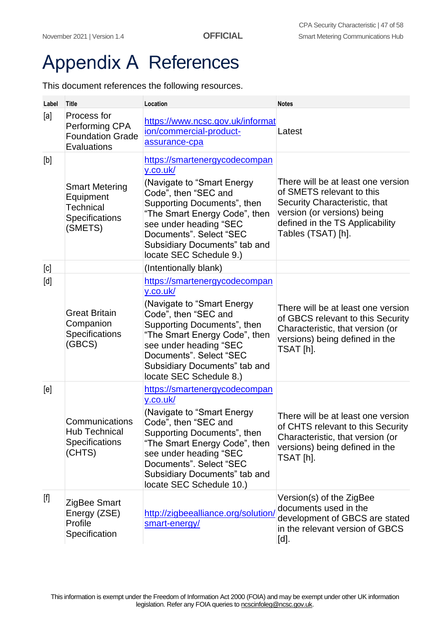# <span id="page-46-0"></span>Appendix A References

This document references the following resources.

| Label                                                                                                                                                                     | <b>Title</b>                                                                        | Location                                                                                                                                                                                                                                                                          | <b>Notes</b>                                                                                                                                                                             |
|---------------------------------------------------------------------------------------------------------------------------------------------------------------------------|-------------------------------------------------------------------------------------|-----------------------------------------------------------------------------------------------------------------------------------------------------------------------------------------------------------------------------------------------------------------------------------|------------------------------------------------------------------------------------------------------------------------------------------------------------------------------------------|
| [a]                                                                                                                                                                       | Process for<br>Performing CPA<br><b>Foundation Grade</b><br>Evaluations             | https://www.ncsc.gov.uk/informat<br>ion/commercial-product-<br>assurance-cpa                                                                                                                                                                                                      | Latest                                                                                                                                                                                   |
| $[b]$                                                                                                                                                                     | <b>Smart Metering</b><br>Equipment<br><b>Technical</b><br>Specifications<br>(SMETS) | https://smartenergycodecompan<br>y.co.uk/<br>(Navigate to "Smart Energy<br>Code", then "SEC and<br>Supporting Documents", then<br>"The Smart Energy Code", then<br>see under heading "SEC<br>Documents". Select "SEC<br>Subsidiary Documents" tab and<br>locate SEC Schedule 9.)  | There will be at least one version<br>of SMETS relevant to this<br>Security Characteristic, that<br>version (or versions) being<br>defined in the TS Applicability<br>Tables (TSAT) [h]. |
| [c]                                                                                                                                                                       |                                                                                     | (Intentionally blank)                                                                                                                                                                                                                                                             |                                                                                                                                                                                          |
| [d]                                                                                                                                                                       | <b>Great Britain</b><br>Companion<br>Specifications<br>(GBCS)                       | https://smartenergycodecompan<br>y.co.uk/<br>(Navigate to "Smart Energy<br>Code", then "SEC and<br>Supporting Documents", then<br>"The Smart Energy Code", then<br>see under heading "SEC<br>Documents". Select "SEC<br>Subsidiary Documents" tab and<br>locate SEC Schedule 8.)  | There will be at least one version<br>of GBCS relevant to this Security<br>Characteristic, that version (or<br>versions) being defined in the<br>TSAT [h].                               |
| [e]                                                                                                                                                                       | Communications<br><b>Hub Technical</b><br><b>Specifications</b><br>(CHTS)           | https://smartenergycodecompan<br>y.co.uk/<br>(Navigate to "Smart Energy<br>Code", then "SEC and<br>Supporting Documents", then<br>"The Smart Energy Code", then<br>see under heading "SEC<br>Documents". Select "SEC<br>Subsidiary Documents" tab and<br>locate SEC Schedule 10.) | There will be at least one version<br>of CHTS relevant to this Security<br>Characteristic, that version (or<br>versions) being defined in the<br>TSAT [h].                               |
| $[f] % \centering % {\includegraphics[width=0.9\textwidth]{figs-pi.pdf}} \caption{The figure shows the results of the estimators in the left and right.} \label{fig:rep}$ | ZigBee Smart<br>Energy (ZSE)<br>Profile<br>Specification                            | http://zigbeealliance.org/solution/<br>smart-energy/                                                                                                                                                                                                                              | Version(s) of the ZigBee<br>documents used in the<br>development of GBCS are stated<br>in the relevant version of GBCS<br>[d].                                                           |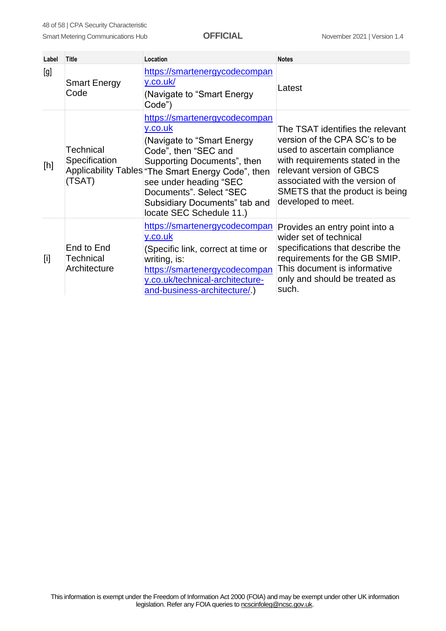| Label | <b>Title</b>                                | Location                                                                                                                                                                                                                                                                                              | <b>Notes</b>                                                                                                                                                                                                                                                |
|-------|---------------------------------------------|-------------------------------------------------------------------------------------------------------------------------------------------------------------------------------------------------------------------------------------------------------------------------------------------------------|-------------------------------------------------------------------------------------------------------------------------------------------------------------------------------------------------------------------------------------------------------------|
| [g]   | <b>Smart Energy</b><br>Code                 | https://smartenergycodecompan<br>y.co.uk/<br>(Navigate to "Smart Energy<br>Code")                                                                                                                                                                                                                     | Latest                                                                                                                                                                                                                                                      |
| [h]   | <b>Technical</b><br>Specification<br>(TSAT) | https://smartenergycodecompan<br>y.co.uk<br>(Navigate to "Smart Energy<br>Code", then "SEC and<br>Supporting Documents", then<br>Applicability Tables "The Smart Energy Code", then<br>see under heading "SEC<br>Documents". Select "SEC<br>Subsidiary Documents" tab and<br>locate SEC Schedule 11.) | The TSAT identifies the relevant<br>version of the CPA SC's to be<br>used to ascertain compliance<br>with requirements stated in the<br>relevant version of GBCS<br>associated with the version of<br>SMETS that the product is being<br>developed to meet. |
| $[1]$ | End to End<br>Technical<br>Architecture     | https://smartenergycodecompan<br>y.co.uk<br>(Specific link, correct at time or<br>writing, is:<br>https://smartenergycodecompan<br>y.co.uk/technical-architecture-<br>and-business-architecture/.)                                                                                                    | Provides an entry point into a<br>wider set of technical<br>specifications that describe the<br>requirements for the GB SMIP.<br>This document is informative<br>only and should be treated as<br>such.                                                     |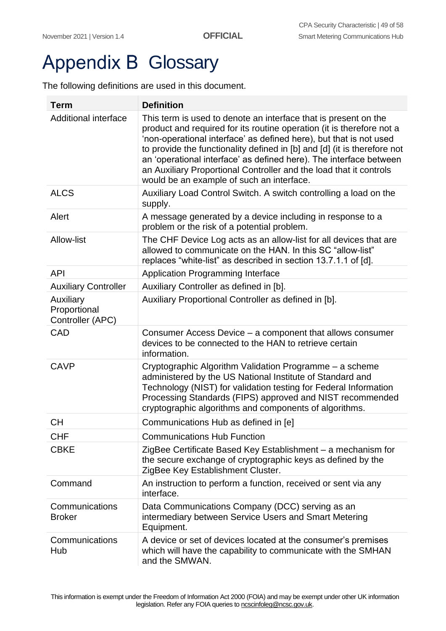# <span id="page-48-0"></span>**Appendix B Glossary**

The following definitions are used in this document.

| <b>Term</b>                                   | <b>Definition</b>                                                                                                                                                                                                                                                                                                                                                                                                                                                                   |
|-----------------------------------------------|-------------------------------------------------------------------------------------------------------------------------------------------------------------------------------------------------------------------------------------------------------------------------------------------------------------------------------------------------------------------------------------------------------------------------------------------------------------------------------------|
| <b>Additional interface</b>                   | This term is used to denote an interface that is present on the<br>product and required for its routine operation (it is therefore not a<br>'non-operational interface' as defined here), but that is not used<br>to provide the functionality defined in [b] and [d] (it is therefore not<br>an 'operational interface' as defined here). The interface between<br>an Auxiliary Proportional Controller and the load that it controls<br>would be an example of such an interface. |
| <b>ALCS</b>                                   | Auxiliary Load Control Switch. A switch controlling a load on the<br>supply.                                                                                                                                                                                                                                                                                                                                                                                                        |
| Alert                                         | A message generated by a device including in response to a<br>problem or the risk of a potential problem.                                                                                                                                                                                                                                                                                                                                                                           |
| <b>Allow-list</b>                             | The CHF Device Log acts as an allow-list for all devices that are<br>allowed to communicate on the HAN. In this SC "allow-list"<br>replaces "white-list" as described in section 13.7.1.1 of [d].                                                                                                                                                                                                                                                                                   |
| <b>API</b>                                    | <b>Application Programming Interface</b>                                                                                                                                                                                                                                                                                                                                                                                                                                            |
| <b>Auxiliary Controller</b>                   | Auxiliary Controller as defined in [b].                                                                                                                                                                                                                                                                                                                                                                                                                                             |
| Auxiliary<br>Proportional<br>Controller (APC) | Auxiliary Proportional Controller as defined in [b].                                                                                                                                                                                                                                                                                                                                                                                                                                |
| CAD                                           | Consumer Access Device - a component that allows consumer<br>devices to be connected to the HAN to retrieve certain<br>information.                                                                                                                                                                                                                                                                                                                                                 |
| <b>CAVP</b>                                   | Cryptographic Algorithm Validation Programme - a scheme<br>administered by the US National Institute of Standard and<br>Technology (NIST) for validation testing for Federal Information<br>Processing Standards (FIPS) approved and NIST recommended<br>cryptographic algorithms and components of algorithms.                                                                                                                                                                     |
| <b>CH</b>                                     | Communications Hub as defined in [e]                                                                                                                                                                                                                                                                                                                                                                                                                                                |
| <b>CHF</b>                                    | <b>Communications Hub Function</b>                                                                                                                                                                                                                                                                                                                                                                                                                                                  |
| <b>CBKE</b>                                   | ZigBee Certificate Based Key Establishment - a mechanism for<br>the secure exchange of cryptographic keys as defined by the<br>ZigBee Key Establishment Cluster.                                                                                                                                                                                                                                                                                                                    |
| Command                                       | An instruction to perform a function, received or sent via any<br>interface.                                                                                                                                                                                                                                                                                                                                                                                                        |
| Communications<br><b>Broker</b>               | Data Communications Company (DCC) serving as an<br>intermediary between Service Users and Smart Metering<br>Equipment.                                                                                                                                                                                                                                                                                                                                                              |
| Communications<br>Hub                         | A device or set of devices located at the consumer's premises<br>which will have the capability to communicate with the SMHAN<br>and the SMWAN.                                                                                                                                                                                                                                                                                                                                     |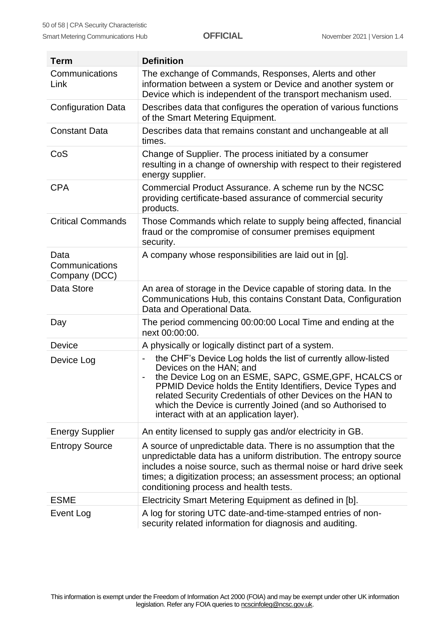| <b>Term</b>                             | <b>Definition</b>                                                                                                                                                                                                                                                                                                                                                                                                                                    |
|-----------------------------------------|------------------------------------------------------------------------------------------------------------------------------------------------------------------------------------------------------------------------------------------------------------------------------------------------------------------------------------------------------------------------------------------------------------------------------------------------------|
| Communications<br>Link                  | The exchange of Commands, Responses, Alerts and other<br>information between a system or Device and another system or<br>Device which is independent of the transport mechanism used.                                                                                                                                                                                                                                                                |
| <b>Configuration Data</b>               | Describes data that configures the operation of various functions<br>of the Smart Metering Equipment.                                                                                                                                                                                                                                                                                                                                                |
| <b>Constant Data</b>                    | Describes data that remains constant and unchangeable at all<br>times.                                                                                                                                                                                                                                                                                                                                                                               |
| CoS                                     | Change of Supplier. The process initiated by a consumer<br>resulting in a change of ownership with respect to their registered<br>energy supplier.                                                                                                                                                                                                                                                                                                   |
| <b>CPA</b>                              | Commercial Product Assurance. A scheme run by the NCSC<br>providing certificate-based assurance of commercial security<br>products.                                                                                                                                                                                                                                                                                                                  |
| <b>Critical Commands</b>                | Those Commands which relate to supply being affected, financial<br>fraud or the compromise of consumer premises equipment<br>security.                                                                                                                                                                                                                                                                                                               |
| Data<br>Communications<br>Company (DCC) | A company whose responsibilities are laid out in [g].                                                                                                                                                                                                                                                                                                                                                                                                |
| Data Store                              | An area of storage in the Device capable of storing data. In the<br>Communications Hub, this contains Constant Data, Configuration<br>Data and Operational Data.                                                                                                                                                                                                                                                                                     |
| Day                                     | The period commencing 00:00:00 Local Time and ending at the<br>next 00:00:00.                                                                                                                                                                                                                                                                                                                                                                        |
| Device                                  | A physically or logically distinct part of a system.                                                                                                                                                                                                                                                                                                                                                                                                 |
| Device Log                              | the CHF's Device Log holds the list of currently allow-listed<br>$\overline{\phantom{0}}$<br>Devices on the HAN; and<br>the Device Log on an ESME, SAPC, GSME, GPF, HCALCS or<br>$\qquad \qquad \blacksquare$<br>PPMID Device holds the Entity Identifiers, Device Types and<br>related Security Credentials of other Devices on the HAN to<br>which the Device is currently Joined (and so Authorised to<br>interact with at an application layer). |
| <b>Energy Supplier</b>                  | An entity licensed to supply gas and/or electricity in GB.                                                                                                                                                                                                                                                                                                                                                                                           |
| <b>Entropy Source</b>                   | A source of unpredictable data. There is no assumption that the<br>unpredictable data has a uniform distribution. The entropy source<br>includes a noise source, such as thermal noise or hard drive seek<br>times; a digitization process; an assessment process; an optional<br>conditioning process and health tests.                                                                                                                             |
| <b>ESME</b>                             | Electricity Smart Metering Equipment as defined in [b].                                                                                                                                                                                                                                                                                                                                                                                              |
| Event Log                               | A log for storing UTC date-and-time-stamped entries of non-<br>security related information for diagnosis and auditing.                                                                                                                                                                                                                                                                                                                              |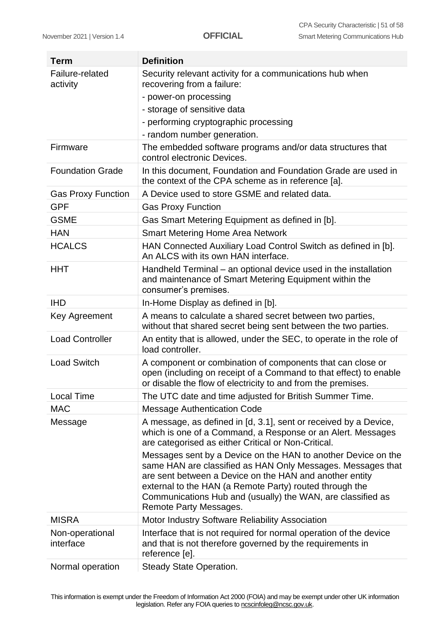$\sim$ 

| <b>Term</b>                  | <b>Definition</b>                                                                                                                                                                                                                                                                                                                           |
|------------------------------|---------------------------------------------------------------------------------------------------------------------------------------------------------------------------------------------------------------------------------------------------------------------------------------------------------------------------------------------|
| Failure-related<br>activity  | Security relevant activity for a communications hub when<br>recovering from a failure:                                                                                                                                                                                                                                                      |
|                              | - power-on processing                                                                                                                                                                                                                                                                                                                       |
|                              | - storage of sensitive data                                                                                                                                                                                                                                                                                                                 |
|                              | - performing cryptographic processing                                                                                                                                                                                                                                                                                                       |
|                              | - random number generation.                                                                                                                                                                                                                                                                                                                 |
| Firmware                     | The embedded software programs and/or data structures that<br>control electronic Devices.                                                                                                                                                                                                                                                   |
| <b>Foundation Grade</b>      | In this document, Foundation and Foundation Grade are used in<br>the context of the CPA scheme as in reference [a].                                                                                                                                                                                                                         |
| <b>Gas Proxy Function</b>    | A Device used to store GSME and related data.                                                                                                                                                                                                                                                                                               |
| <b>GPF</b>                   | <b>Gas Proxy Function</b>                                                                                                                                                                                                                                                                                                                   |
| <b>GSME</b>                  | Gas Smart Metering Equipment as defined in [b].                                                                                                                                                                                                                                                                                             |
| <b>HAN</b>                   | <b>Smart Metering Home Area Network</b>                                                                                                                                                                                                                                                                                                     |
| <b>HCALCS</b>                | HAN Connected Auxiliary Load Control Switch as defined in [b].<br>An ALCS with its own HAN interface.                                                                                                                                                                                                                                       |
| <b>HHT</b>                   | Handheld Terminal - an optional device used in the installation<br>and maintenance of Smart Metering Equipment within the<br>consumer's premises.                                                                                                                                                                                           |
| <b>IHD</b>                   | In-Home Display as defined in [b].                                                                                                                                                                                                                                                                                                          |
| Key Agreement                | A means to calculate a shared secret between two parties,<br>without that shared secret being sent between the two parties.                                                                                                                                                                                                                 |
| <b>Load Controller</b>       | An entity that is allowed, under the SEC, to operate in the role of<br>load controller.                                                                                                                                                                                                                                                     |
| <b>Load Switch</b>           | A component or combination of components that can close or<br>open (including on receipt of a Command to that effect) to enable<br>or disable the flow of electricity to and from the premises.                                                                                                                                             |
| <b>Local Time</b>            | The UTC date and time adjusted for British Summer Time.                                                                                                                                                                                                                                                                                     |
| <b>MAC</b>                   | <b>Message Authentication Code</b>                                                                                                                                                                                                                                                                                                          |
| Message                      | A message, as defined in [d, 3.1], sent or received by a Device,<br>which is one of a Command, a Response or an Alert. Messages<br>are categorised as either Critical or Non-Critical.                                                                                                                                                      |
|                              | Messages sent by a Device on the HAN to another Device on the<br>same HAN are classified as HAN Only Messages. Messages that<br>are sent between a Device on the HAN and another entity<br>external to the HAN (a Remote Party) routed through the<br>Communications Hub and (usually) the WAN, are classified as<br>Remote Party Messages. |
| <b>MISRA</b>                 | Motor Industry Software Reliability Association                                                                                                                                                                                                                                                                                             |
| Non-operational<br>interface | Interface that is not required for normal operation of the device<br>and that is not therefore governed by the requirements in<br>reference [e].                                                                                                                                                                                            |
| Normal operation             | <b>Steady State Operation.</b>                                                                                                                                                                                                                                                                                                              |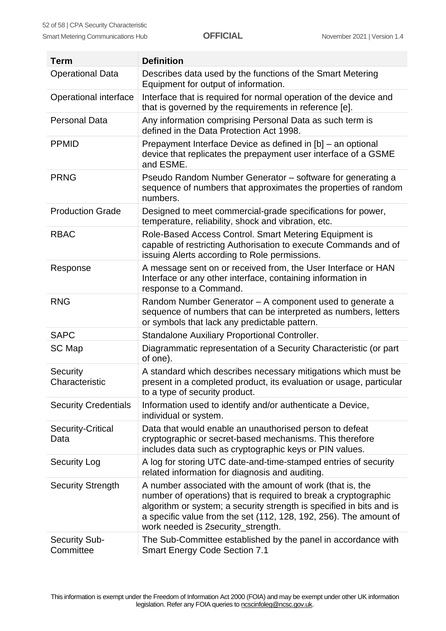| <b>Term</b>                       | <b>Definition</b>                                                                                                                                                                                                                                                                                               |
|-----------------------------------|-----------------------------------------------------------------------------------------------------------------------------------------------------------------------------------------------------------------------------------------------------------------------------------------------------------------|
| <b>Operational Data</b>           | Describes data used by the functions of the Smart Metering<br>Equipment for output of information.                                                                                                                                                                                                              |
| Operational interface             | Interface that is required for normal operation of the device and<br>that is governed by the requirements in reference [e].                                                                                                                                                                                     |
| <b>Personal Data</b>              | Any information comprising Personal Data as such term is<br>defined in the Data Protection Act 1998.                                                                                                                                                                                                            |
| <b>PPMID</b>                      | Prepayment Interface Device as defined in [b] - an optional<br>device that replicates the prepayment user interface of a GSME<br>and ESME.                                                                                                                                                                      |
| <b>PRNG</b>                       | Pseudo Random Number Generator - software for generating a<br>sequence of numbers that approximates the properties of random<br>numbers.                                                                                                                                                                        |
| <b>Production Grade</b>           | Designed to meet commercial-grade specifications for power,<br>temperature, reliability, shock and vibration, etc.                                                                                                                                                                                              |
| <b>RBAC</b>                       | Role-Based Access Control. Smart Metering Equipment is<br>capable of restricting Authorisation to execute Commands and of<br>issuing Alerts according to Role permissions.                                                                                                                                      |
| Response                          | A message sent on or received from, the User Interface or HAN<br>Interface or any other interface, containing information in<br>response to a Command.                                                                                                                                                          |
| <b>RNG</b>                        | Random Number Generator - A component used to generate a<br>sequence of numbers that can be interpreted as numbers, letters<br>or symbols that lack any predictable pattern.                                                                                                                                    |
| <b>SAPC</b>                       | Standalone Auxiliary Proportional Controller.                                                                                                                                                                                                                                                                   |
| SC Map                            | Diagrammatic representation of a Security Characteristic (or part<br>of one).                                                                                                                                                                                                                                   |
| Security<br>Characteristic        | A standard which describes necessary mitigations which must be<br>present in a completed product, its evaluation or usage, particular<br>to a type of security product.                                                                                                                                         |
| <b>Security Credentials</b>       | Information used to identify and/or authenticate a Device,<br>individual or system.                                                                                                                                                                                                                             |
| Security-Critical<br>Data         | Data that would enable an unauthorised person to defeat<br>cryptographic or secret-based mechanisms. This therefore<br>includes data such as cryptographic keys or PIN values.                                                                                                                                  |
| <b>Security Log</b>               | A log for storing UTC date-and-time-stamped entries of security<br>related information for diagnosis and auditing.                                                                                                                                                                                              |
| <b>Security Strength</b>          | A number associated with the amount of work (that is, the<br>number of operations) that is required to break a cryptographic<br>algorithm or system; a security strength is specified in bits and is<br>a specific value from the set (112, 128, 192, 256). The amount of<br>work needed is 2security_strength. |
| <b>Security Sub-</b><br>Committee | The Sub-Committee established by the panel in accordance with<br><b>Smart Energy Code Section 7.1</b>                                                                                                                                                                                                           |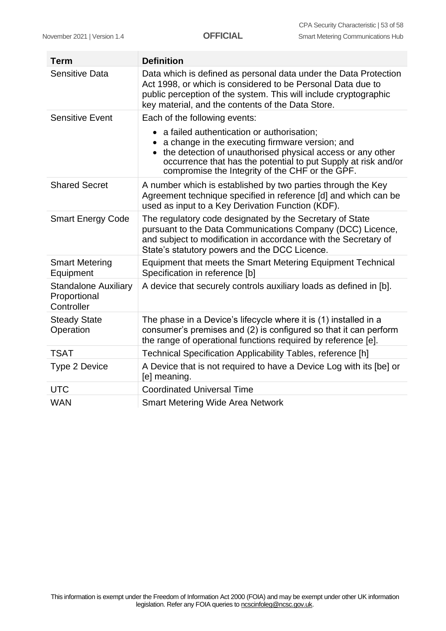| <b>Term</b>                                               | <b>Definition</b>                                                                                                                                                                                                                                                                 |
|-----------------------------------------------------------|-----------------------------------------------------------------------------------------------------------------------------------------------------------------------------------------------------------------------------------------------------------------------------------|
| <b>Sensitive Data</b>                                     | Data which is defined as personal data under the Data Protection<br>Act 1998, or which is considered to be Personal Data due to<br>public perception of the system. This will include cryptographic<br>key material, and the contents of the Data Store.                          |
| <b>Sensitive Event</b>                                    | Each of the following events:                                                                                                                                                                                                                                                     |
|                                                           | • a failed authentication or authorisation;<br>a change in the executing firmware version; and<br>the detection of unauthorised physical access or any other<br>occurrence that has the potential to put Supply at risk and/or<br>compromise the Integrity of the CHF or the GPF. |
| <b>Shared Secret</b>                                      | A number which is established by two parties through the Key<br>Agreement technique specified in reference [d] and which can be<br>used as input to a Key Derivation Function (KDF).                                                                                              |
| <b>Smart Energy Code</b>                                  | The regulatory code designated by the Secretary of State<br>pursuant to the Data Communications Company (DCC) Licence,<br>and subject to modification in accordance with the Secretary of<br>State's statutory powers and the DCC Licence.                                        |
| <b>Smart Metering</b><br>Equipment                        | Equipment that meets the Smart Metering Equipment Technical<br>Specification in reference [b]                                                                                                                                                                                     |
| <b>Standalone Auxiliary</b><br>Proportional<br>Controller | A device that securely controls auxiliary loads as defined in [b].                                                                                                                                                                                                                |
| <b>Steady State</b><br>Operation                          | The phase in a Device's lifecycle where it is (1) installed in a<br>consumer's premises and (2) is configured so that it can perform<br>the range of operational functions required by reference [e].                                                                             |
| <b>TSAT</b>                                               | Technical Specification Applicability Tables, reference [h]                                                                                                                                                                                                                       |
| Type 2 Device                                             | A Device that is not required to have a Device Log with its [be] or<br>[e] meaning.                                                                                                                                                                                               |
| <b>UTC</b>                                                | <b>Coordinated Universal Time</b>                                                                                                                                                                                                                                                 |
| <b>WAN</b>                                                | <b>Smart Metering Wide Area Network</b>                                                                                                                                                                                                                                           |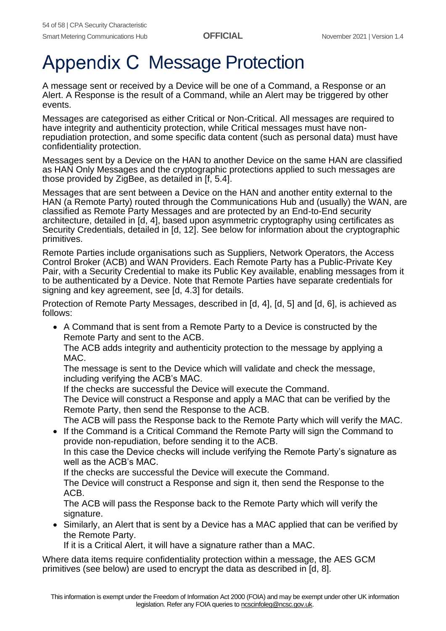## <span id="page-53-0"></span>Appendix C Message Protection

A message sent or received by a Device will be one of a Command, a Response or an Alert. A Response is the result of a Command, while an Alert may be triggered by other events.

Messages are categorised as either Critical or Non-Critical. All messages are required to have integrity and authenticity protection, while Critical messages must have nonrepudiation protection, and some specific data content (such as personal data) must have confidentiality protection.

Messages sent by a Device on the HAN to another Device on the same HAN are classified as HAN Only Messages and the cryptographic protections applied to such messages are those provided by ZigBee, as detailed in [f, 5.4].

Messages that are sent between a Device on the HAN and another entity external to the HAN (a Remote Party) routed through the Communications Hub and (usually) the WAN, are classified as Remote Party Messages and are protected by an End-to-End security architecture, detailed in [d, 4], based upon asymmetric cryptography using certificates as Security Credentials, detailed in [d, 12]. See below for information about the cryptographic primitives.

Remote Parties include organisations such as Suppliers, Network Operators, the Access Control Broker (ACB) and WAN Providers. Each Remote Party has a Public-Private Key Pair, with a Security Credential to make its Public Key available, enabling messages from it to be authenticated by a Device. Note that Remote Parties have separate credentials for signing and key agreement, see [d, 4.3] for details.

Protection of Remote Party Messages, described in [d, 4], [d, 5] and [d, 6], is achieved as follows:

• A Command that is sent from a Remote Party to a Device is constructed by the Remote Party and sent to the ACB.

The ACB adds integrity and authenticity protection to the message by applying a MAC.

The message is sent to the Device which will validate and check the message, including verifying the ACB's MAC.

If the checks are successful the Device will execute the Command.

The Device will construct a Response and apply a MAC that can be verified by the Remote Party, then send the Response to the ACB.

The ACB will pass the Response back to the Remote Party which will verify the MAC.

• If the Command is a Critical Command the Remote Party will sign the Command to provide non-repudiation, before sending it to the ACB.

In this case the Device checks will include verifying the Remote Party's signature as well as the ACB's MAC.

If the checks are successful the Device will execute the Command.

The Device will construct a Response and sign it, then send the Response to the ACB.

The ACB will pass the Response back to the Remote Party which will verify the signature.

• Similarly, an Alert that is sent by a Device has a MAC applied that can be verified by the Remote Party.

If it is a Critical Alert, it will have a signature rather than a MAC.

Where data items require confidentiality protection within a message, the AES GCM primitives (see below) are used to encrypt the data as described in [d, 8].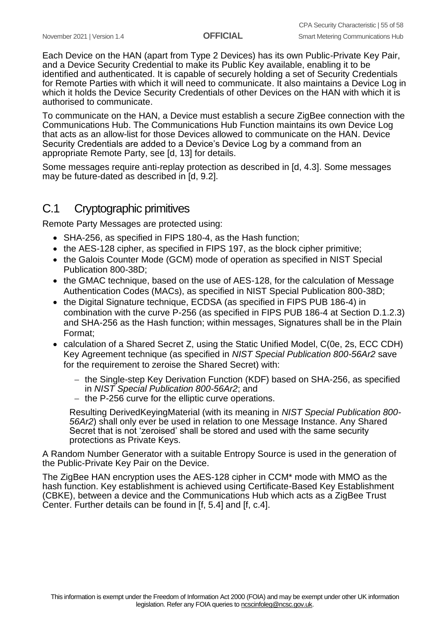Each Device on the HAN (apart from Type 2 Devices) has its own Public-Private Key Pair, and a Device Security Credential to make its Public Key available, enabling it to be identified and authenticated. It is capable of securely holding a set of Security Credentials for Remote Parties with which it will need to communicate. It also maintains a Device Log in which it holds the Device Security Credentials of other Devices on the HAN with which it is authorised to communicate.

To communicate on the HAN, a Device must establish a secure ZigBee connection with the Communications Hub. The Communications Hub Function maintains its own Device Log that acts as an allow-list for those Devices allowed to communicate on the HAN. Device Security Credentials are added to a Device's Device Log by a command from an appropriate Remote Party, see [d, 13] for details.

Some messages require anti-replay protection as described in [d, 4.3]. Some messages may be future-dated as described in [d, 9.2].

## <span id="page-54-0"></span>C.1 Cryptographic primitives

Remote Party Messages are protected using:

- SHA-256, as specified in FIPS 180-4, as the Hash function;
- the AES-128 cipher, as specified in FIPS 197, as the block cipher primitive;
- the Galois Counter Mode (GCM) mode of operation as specified in NIST Special Publication 800-38D;
- the GMAC technique, based on the use of AES-128, for the calculation of Message Authentication Codes (MACs), as specified in NIST Special Publication 800-38D;
- the Digital Signature technique, ECDSA (as specified in FIPS PUB 186-4) in combination with the curve P-256 (as specified in FIPS PUB 186-4 at Section D.1.2.3) and SHA-256 as the Hash function; within messages, Signatures shall be in the Plain Format;
- calculation of a Shared Secret Z, using the Static Unified Model, C(0e, 2s, ECC CDH) Key Agreement technique (as specified in *NIST Special Publication 800-56Ar2* save for the requirement to zeroise the Shared Secret) with:
	- − the Single-step Key Derivation Function (KDF) based on SHA-256, as specified in *NIST Special Publication 800-56Ar2*; and
	- − the P-256 curve for the elliptic curve operations.

Resulting DerivedKeyingMaterial (with its meaning in *NIST Special Publication 800- 56Ar2*) shall only ever be used in relation to one Message Instance. Any Shared Secret that is not 'zeroised' shall be stored and used with the same security protections as Private Keys.

A Random Number Generator with a suitable Entropy Source is used in the generation of the Public-Private Key Pair on the Device.

The ZigBee HAN encryption uses the AES-128 cipher in CCM\* mode with MMO as the hash function. Key establishment is achieved using Certificate-Based Key Establishment (CBKE), between a device and the Communications Hub which acts as a ZigBee Trust Center. Further details can be found in [f, 5.4] and [f, c.4].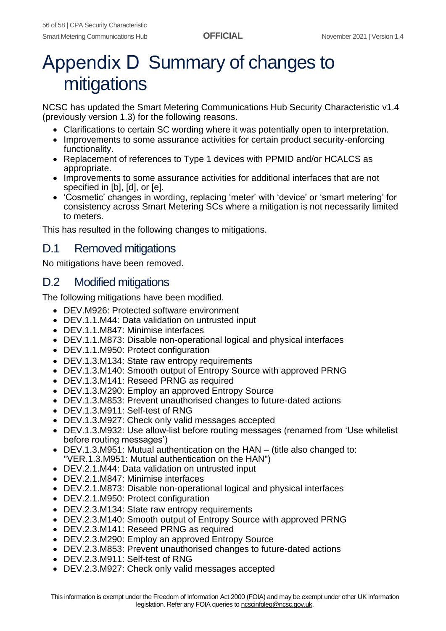# <span id="page-55-0"></span>Appendix D Summary of changes to mitigations

NCSC has updated the Smart Metering Communications Hub Security Characteristic v1.4 (previously version 1.3) for the following reasons.

- Clarifications to certain SC wording where it was potentially open to interpretation.
- Improvements to some assurance activities for certain product security-enforcing functionality.
- Replacement of references to Type 1 devices with PPMID and/or HCALCS as appropriate.
- Improvements to some assurance activities for additional interfaces that are not specified in [b], [d], or [e].
- 'Cosmetic' changes in wording, replacing 'meter' with 'device' or 'smart metering' for consistency across Smart Metering SCs where a mitigation is not necessarily limited to meters.

This has resulted in the following changes to mitigations.

## <span id="page-55-1"></span>D.1 Removed mitigations

No mitigations have been removed.

## <span id="page-55-2"></span>D.2 Modified mitigations

The following mitigations have been modified.

- DEV.M926: Protected software environment
- DEV.1.1.M44: Data validation on untrusted input
- DEV.1.1.M847: Minimise interfaces
- DEV.1.1.M873: Disable non-operational logical and physical interfaces
- DEV.1.1.M950: Protect configuration
- DEV.1.3.M134: State raw entropy requirements
- DEV.1.3.M140: Smooth output of Entropy Source with approved PRNG
- DEV.1.3.M141: Reseed PRNG as required
- DEV.1.3.M290: Employ an approved Entropy Source
- DEV.1.3.M853: Prevent unauthorised changes to future-dated actions
- DEV.1.3.M911: Self-test of RNG
- DEV.1.3.M927: Check only valid messages accepted
- DEV.1.3.M932: Use allow-list before routing messages (renamed from 'Use whitelist before routing messages')
- DEV.1.3.M951: Mutual authentication on the HAN (title also changed to: "VER.1.3.M951: Mutual authentication on the HAN")
- DEV.2.1.M44: Data validation on untrusted input
- DEV.2.1.M847: Minimise interfaces
- DEV.2.1.M873: Disable non-operational logical and physical interfaces
- DEV.2.1.M950: Protect configuration
- DEV.2.3.M134: State raw entropy requirements
- DEV.2.3.M140: Smooth output of Entropy Source with approved PRNG
- DEV.2.3.M141: Reseed PRNG as required
- DEV.2.3.M290: Employ an approved Entropy Source
- DEV.2.3.M853: Prevent unauthorised changes to future-dated actions
- DEV.2.3.M911: Self-test of RNG
- DEV.2.3.M927: Check only valid messages accepted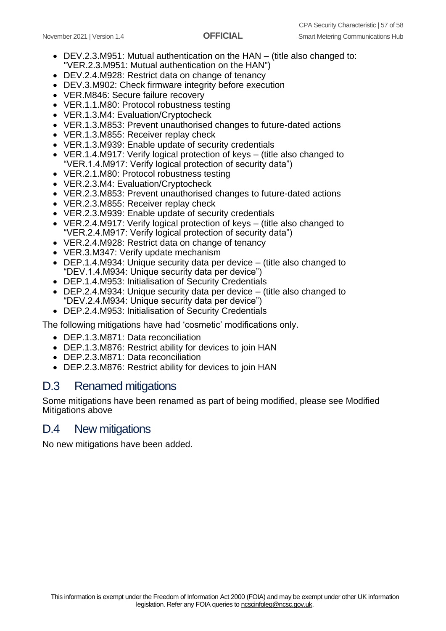- DEV.2.3.M951: Mutual authentication on the HAN (title also changed to: "VER.2.3.M951: Mutual authentication on the HAN")
- DEV.2.4.M928: Restrict data on change of tenancy
- DEV.3.M902: Check firmware integrity before execution
- VER.M846: Secure failure recovery
- VER.1.1.M80: Protocol robustness testing
- VER.1.3.M4: Evaluation/Cryptocheck
- VER.1.3.M853: Prevent unauthorised changes to future-dated actions
- VER.1.3.M855: Receiver replay check
- VER.1.3.M939: Enable update of security credentials
- VER.1.4.M917: Verify logical protection of keys (title also changed to "VER.1.4.M917: Verify logical protection of security data")
- VER.2.1.M80: Protocol robustness testing
- VER.2.3.M4: Evaluation/Cryptocheck
- VER.2.3.M853: Prevent unauthorised changes to future-dated actions
- VER.2.3.M855: Receiver replay check
- VER.2.3.M939: Enable update of security credentials
- VER.2.4.M917: Verify logical protection of keys (title also changed to "VER.2.4.M917: Verify logical protection of security data")
- VER.2.4.M928: Restrict data on change of tenancy
- VER.3.M347: Verify update mechanism
- DEP.1.4.M934: Unique security data per device (title also changed to "DEV.1.4.M934: Unique security data per device")
- DEP.1.4.M953: Initialisation of Security Credentials
- DEP.2.4.M934: Unique security data per device (title also changed to "DEV.2.4.M934: Unique security data per device")
- DEP.2.4.M953: Initialisation of Security Credentials

The following mitigations have had 'cosmetic' modifications only.

- DEP.1.3.M871: Data reconciliation
- DEP.1.3.M876: Restrict ability for devices to join HAN
- DEP.2.3.M871: Data reconciliation
- DEP.2.3.M876: Restrict ability for devices to join HAN

## <span id="page-56-0"></span>D.3 Renamed mitigations

Some mitigations have been renamed as part of being modified, please see Modified Mitigations above

## <span id="page-56-1"></span>D.4 New mitigations

No new mitigations have been added.